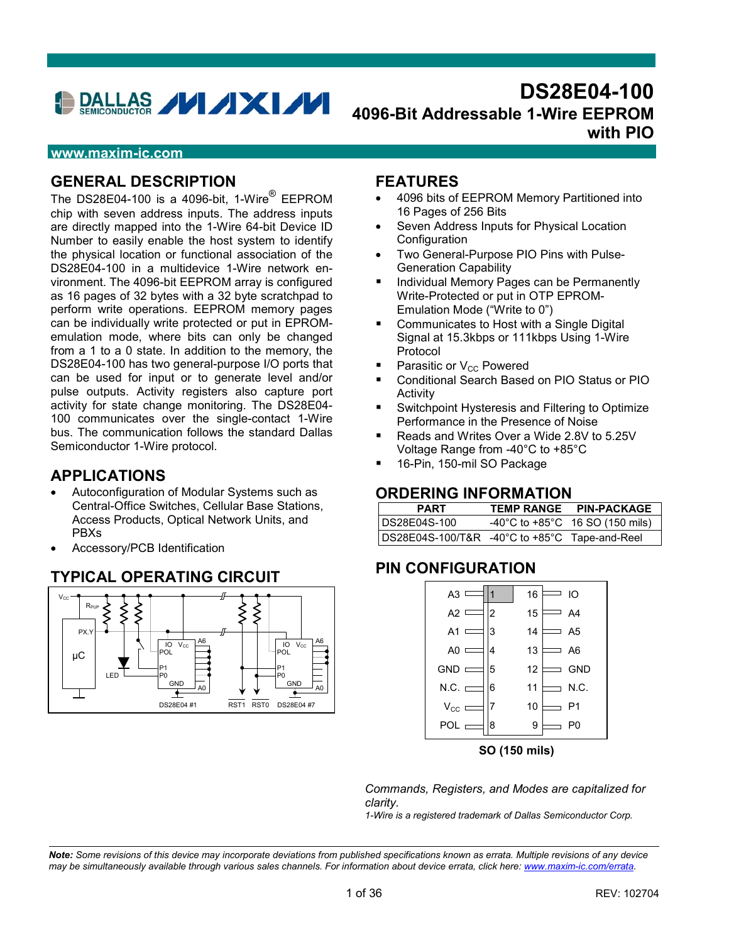# **DALLAS MIXIM**

# **DS28E04-100 4096-Bit Addressable 1-Wire EEPROM with PIO**

#### **www.maxim-ic.com**

### **GENERAL DESCRIPTION**

The DS28E04-100 is a 4096-bit, 1-Wire® EEPROM chip with seven address inputs. The address inputs are directly mapped into the 1-Wire 64-bit Device ID Number to easily enable the host system to identify the physical location or functional association of the DS28E04-100 in a multidevice 1-Wire network environment. The 4096-bit EEPROM array is configured as 16 pages of 32 bytes with a 32 byte scratchpad to perform write operations. EEPROM memory pages can be individually write protected or put in EPROMemulation mode, where bits can only be changed from a 1 to a 0 state. In addition to the memory, the DS28E04-100 has two general-purpose I/O ports that can be used for input or to generate level and/or pulse outputs. Activity registers also capture port activity for state change monitoring. The DS28E04- 100 communicates over the single-contact 1-Wire bus. The communication follows the standard Dallas Semiconductor 1-Wire protocol.

### **APPLICATIONS**

- - Autoconfiguration of Modular Systems such as Central-Office Switches, Cellular Base Stations, Access Products, Optical Network Units, and PBXs
- $\bullet$ Accessory/PCB Identification

### **TYPICAL OPERATING CIRCUIT**



#### **FEATURES**

- - 4096 bits of EEPROM Memory Partitioned into 16 Pages of 256 Bits
- - Seven Address Inputs for Physical Location **Configuration**
- - Two General-Purpose PIO Pins with Pulse-Generation Capability
- - Individual Memory Pages can be Permanently Write-Protected or put in OTP EPROM-Emulation Mode ("Write to 0")
- - Communicates to Host with a Single Digital Signal at 15.3kbps or 111kbps Using 1-Wire Protocol
- -Parasitic or  $V_{CC}$  Powered
- - Conditional Search Based on PIO Status or PIO Activity
- - Switchpoint Hysteresis and Filtering to Optimize Performance in the Presence of Noise
- - Reads and Writes Over a Wide 2.8V to 5.25V Voltage Range from -40°C to +85°C
- -16-Pin, 150-mil SO Package

#### **ORDERING INFORMATION**

| <b>PART</b>                                   | <b>TEMP RANGE</b> | <b>PIN-PACKAGE</b>                                  |
|-----------------------------------------------|-------------------|-----------------------------------------------------|
| IDS28E04S-100                                 |                   | $-40^{\circ}$ C to $+85^{\circ}$ C 16 SO (150 mils) |
| DS28E04S-100/T&R -40°C to +85°C Tape-and-Reel |                   |                                                     |

# **PIN CONFIGURATION**



**SO (150 mils)** 

*Commands, Registers, and Modes are capitalized for clarity.* 

*1-Wire is a registered trademark of Dallas Semiconductor Corp.*

*Note: Some revisions of this device may incorporate deviations from published specifications known as errata. Multiple revisions of any device may be simultaneously available through various sales channels. For information about device errata, click here: www.maxim-ic.com/errata.*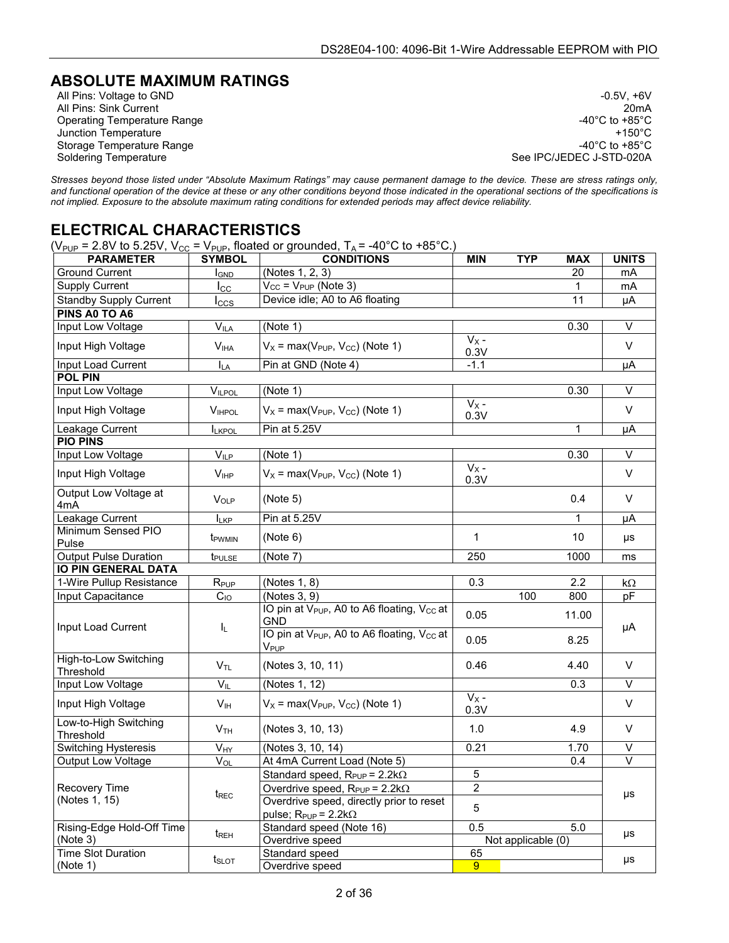### **ABSOLUTE MAXIMUM RATINGS**

All Pins: Voltage to GND -0.5V, +6V -0.5V, +6V -0.5V, +6V -0.5V, +6V -0.5V, +6V -0.5V, +6V -0.5V, +6V -0.5V, +6V All Pins: Sink Current 20mA<br>
Operating Temperature Range 1999 and 2000 and 2000 and 2000 and 2000 and 2000 and 2000 and 2000 and 2000 and 2<br>
And 2000 and 2000 and 2000 and 2000 and 2000 and 2000 and 2000 and 2000 and 2000 Operating Temperature Range -40°C to +85°C to +85°C to +85°C<br>Junction Temperature -40°C to +150°C Junction Temperature +150°C<br>Storage Temperature Range +160°C to +85°C Storage Temperature Range<br>Soldering Temperature

See IPC/JEDEC J-STD-020A

*Stresses beyond those listed under "Absolute Maximum Ratings" may cause permanent damage to the device. These are stress ratings only, and functional operation of the device at these or any other conditions beyond those indicated in the operational sections of the specifications is not implied. Exposure to the absolute maximum rating conditions for extended periods may affect device reliability.* 

### **ELECTRICAL CHARACTERISTICS**

 $(V_{\text{PID}} = 2.8V$  to 5.25V,  $V_{\text{CC}} = V_{\text{PID}}$ , floated or grounded,  $T_A = -40^{\circ}C$  to  $+85^{\circ}C$ .)

| ' rur<br><b>PARAMETER</b>          | <b>SYMBOL</b>       | <b>CONDITIONS</b><br><b>MIN</b>                                                        |                   | <b>TYP</b>         | <b>MAX</b>      | <b>UNITS</b>            |
|------------------------------------|---------------------|----------------------------------------------------------------------------------------|-------------------|--------------------|-----------------|-------------------------|
| <b>Ground Current</b>              | <b>I</b> GND        | (Notes 1, 2, 3)                                                                        |                   |                    | 20              | mA                      |
| <b>Supply Current</b>              | $I_{\rm CC}$        | $V_{CC} = V_{PUP}$ (Note 3)                                                            |                   |                    | 1               | mA                      |
| <b>Standby Supply Current</b>      | $I_{\text{CCS}}$    | Device idle; A0 to A6 floating                                                         |                   |                    | 11              | μA                      |
| PINS AO TO A6                      |                     |                                                                                        |                   |                    |                 |                         |
| Input Low Voltage                  | V <sub>ILA</sub>    | (Note 1)                                                                               |                   |                    | 0.30            | V                       |
| Input High Voltage                 | V <sub>IHA</sub>    | $V_X$ = max( $V_{PUP}$ , $V_{CC}$ ) (Note 1)                                           | $V_{X}$ -<br>0.3V |                    |                 | V                       |
| Input Load Current                 | <b>I</b> LA         | Pin at GND (Note 4)                                                                    | $-1.1$            |                    |                 | μA                      |
| <b>POL PIN</b>                     |                     |                                                                                        |                   |                    |                 |                         |
| Input Low Voltage                  | VILPOL              | (Note 1)                                                                               |                   |                    | 0.30            | $\overline{\mathsf{V}}$ |
| Input High Voltage                 | <b>VIHPOL</b>       | $V_X$ = max( $V_{PUP}$ , $V_{CC}$ ) (Note 1)                                           | $V_X -$<br>0.3V   |                    |                 | V                       |
| Leakage Current                    | <b>ILKPOL</b>       | Pin at 5.25V                                                                           |                   |                    | $\mathbf{1}$    | μA                      |
| <b>PIO PINS</b>                    |                     |                                                                                        |                   |                    |                 |                         |
| Input Low Voltage                  | $V_{ILP}$           | (Note 1)                                                                               |                   |                    | 0.30            | V                       |
| Input High Voltage                 | $V_{IHP}$           | $V_X$ = max( $V_{PUP}$ , $V_{CC}$ ) (Note 1)                                           | $V_X$ -<br>0.3V   |                    |                 | V                       |
| Output Low Voltage at<br>4mA       | $V_{OLP}$           | (Note 5)                                                                               |                   |                    | 0.4             | V                       |
| Leakage Current                    | $I_{LKP}$           | Pin at 5.25V                                                                           |                   |                    | 1               | μA                      |
| Minimum Sensed PIO<br>Pulse        | t <sub>PWMIN</sub>  | (Note 6)                                                                               | $\mathbf{1}$      |                    | 10 <sup>1</sup> | μs                      |
| <b>Output Pulse Duration</b>       | t <sub>PULSE</sub>  | (Note 7)                                                                               | 250               |                    | 1000            | ms                      |
| <b>IO PIN GENERAL DATA</b>         |                     |                                                                                        |                   |                    |                 |                         |
| 1-Wire Pullup Resistance           | R <sub>PUP</sub>    | (Notes 1, 8)                                                                           | 0.3               |                    | 2.2             | kΩ                      |
| Input Capacitance                  | $C_{10}$            | (Notes 3, 9)                                                                           |                   | 100                | 800             | pF                      |
| Input Load Current                 | IL.                 | IO pin at V <sub>PUP</sub> , A0 to A6 floating, V <sub>CC</sub> at<br><b>GND</b>       | 0.05              |                    | 11.00           | μA                      |
|                                    |                     | IO pin at V <sub>PUP</sub> , A0 to A6 floating, V <sub>CC</sub> at<br>V <sub>PUP</sub> | 0.05              |                    | 8.25            |                         |
| High-to-Low Switching<br>Threshold | $V_{TL}$            | (Notes 3, 10, 11)                                                                      | 0.46              |                    | 4.40            | $\mathsf{V}$            |
| Input Low Voltage                  | $\overline{V_{IL}}$ | (Notes 1, 12)                                                                          |                   |                    | 0.3             | $\overline{\vee}$       |
| Input High Voltage                 | $V_{\text{IH}}$     | $V_X$ = max( $V_{PUP}$ , $V_{CC}$ ) (Note 1)                                           | $V_{X}$ -<br>0.3V |                    |                 | V                       |
| Low-to-High Switching<br>Threshold | V <sub>TH</sub>     | (Notes 3, 10, 13)                                                                      | 1.0               |                    | 4.9             | $\mathsf{V}$            |
| Switching Hysteresis               | $V_{HY}$            | (Notes 3, 10, 14)                                                                      | 0.21              |                    | 1.70            | V                       |
| Output Low Voltage                 | V <sub>OL</sub>     | At 4mA Current Load (Note 5)                                                           |                   |                    | 0.4             | V                       |
|                                    |                     | Standard speed, $R_{PUP} = 2.2k\Omega$                                                 | $\mathbf 5$       |                    |                 |                         |
| Recovery Time                      |                     | Overdrive speed, $R_{PUP} = 2.2k\Omega$                                                | $\overline{2}$    |                    |                 |                         |
| (Notes 1, 15)                      | t <sub>REC</sub>    | Overdrive speed, directly prior to reset                                               | $\sqrt{5}$        |                    |                 | μs                      |
|                                    |                     | pulse; $R_{PUP} = 2.2k\Omega$                                                          |                   |                    |                 |                         |
| Rising-Edge Hold-Off Time          | $t_{\sf REH}$       | Standard speed (Note 16)                                                               | 0.5               |                    | 5.0             | μs                      |
| (Note 3)                           |                     | Overdrive speed                                                                        |                   | Not applicable (0) |                 |                         |
| <b>Time Slot Duration</b>          | $t_{\text{SLOT}}$   | Standard speed                                                                         | 65                |                    |                 | μs                      |
| (Note 1)                           |                     | Overdrive speed                                                                        | 9                 |                    |                 |                         |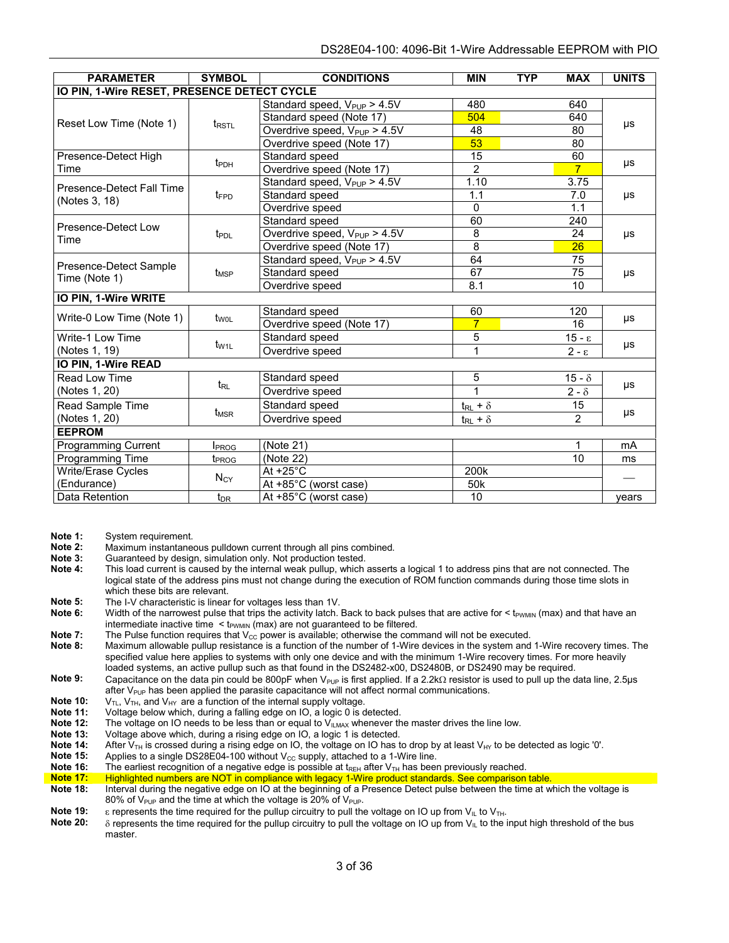| <b>PARAMETER</b>                            | <b>SYMBOL</b>     | <b>CONDITIONS</b>                        | <b>MIN</b>        | <b>TYP</b><br><b>MAX</b> | <b>UNITS</b> |  |
|---------------------------------------------|-------------------|------------------------------------------|-------------------|--------------------------|--------------|--|
| IO PIN, 1-Wire RESET, PRESENCE DETECT CYCLE |                   |                                          |                   |                          |              |  |
|                                             |                   | Standard speed, $V_{PUP} > 4.5V$         | 480               | 640                      |              |  |
| Reset Low Time (Note 1)                     | $t_{\sf RSTL}$    | Standard speed (Note 17)                 | 504               | 640                      | μs           |  |
|                                             |                   | Overdrive speed, V <sub>PUP</sub> > 4.5V | 48                | 80                       |              |  |
|                                             |                   | Overdrive speed (Note 17)                | 53                | 80                       |              |  |
| Presence-Detect High                        | t <sub>PDH</sub>  | Standard speed                           | 15                | 60                       | μs           |  |
| Time                                        |                   | Overdrive speed (Note 17)                | $\overline{2}$    |                          |              |  |
| Presence-Detect Fall Time                   |                   | Standard speed, $V_{PUP} > 4.5V$         | 1.10              | 3.75                     |              |  |
| (Notes 3, 18)                               | $t_{FPD}$         | Standard speed                           | 1.1               | 7.0                      | μs           |  |
|                                             |                   | Overdrive speed                          | 0                 | 1.1                      |              |  |
| Presence-Detect Low                         |                   | Standard speed                           | 60                | 240                      |              |  |
| Time                                        | t <sub>PDL</sub>  | Overdrive speed, $V_{PUP} > 4.5V$        | 8                 | 24                       | μs           |  |
|                                             |                   | Overdrive speed (Note 17)                | 8                 | 26                       |              |  |
| Presence-Detect Sample                      |                   | Standard speed, $V_{\text{PUP}} > 4.5V$  | 64                | 75                       |              |  |
| Time (Note 1)                               | $t_{\text{MSP}}$  | Standard speed                           | 67                | 75                       | μs           |  |
|                                             |                   | Overdrive speed                          | 8.1               | 10                       |              |  |
| IO PIN, 1-Wire WRITE                        |                   |                                          |                   |                          |              |  |
| Write-0 Low Time (Note 1)                   | twol              | Standard speed                           | 60                | 120                      | μs           |  |
|                                             |                   | Overdrive speed (Note 17)                |                   | 16                       |              |  |
| Write-1 Low Time                            | t <sub>w1L</sub>  | 5<br>Standard speed                      |                   | $15 - \epsilon$          | μs           |  |
| (Notes 1, 19)                               |                   | Overdrive speed                          | $\overline{1}$    | $2 - \epsilon$           |              |  |
| IO PIN, 1-Wire READ                         |                   |                                          |                   |                          |              |  |
| Read Low Time                               |                   | Standard speed                           | $\overline{5}$    | $15 - \delta$            |              |  |
| (Notes 1, 20)                               | t <sub>RL</sub>   | Overdrive speed                          | 1                 | $2 - \delta$             | μs           |  |
| Read Sample Time                            |                   | Standard speed                           | $t_{RL} + \delta$ | 15                       |              |  |
| $t_{MSR}$<br>(Notes 1, 20)                  |                   | Overdrive speed                          | $t_{RL} + \delta$ | $\overline{2}$           | μs           |  |
| <b>EEPROM</b>                               |                   |                                          |                   |                          |              |  |
| <b>Programming Current</b>                  | <b>I</b> PROG     | (Note 21)                                |                   | 1                        | <b>mA</b>    |  |
| Programming Time                            | t <sub>PROG</sub> | (Note 22)                                |                   | 10                       | ms           |  |
| Write/Erase Cycles                          |                   | At $+25^{\circ}$ C                       | 200k              |                          |              |  |
| (Endurance)                                 | $N_{CY}$          | At +85°C (worst case)                    | 50k               |                          |              |  |
| Data Retention                              | $t_{DR}$          | At +85°C (worst case)                    | 10                |                          | years        |  |

- **Note 1:** System requirement.
- **Note 2:** Maximum instantaneous pulldown current through all pins combined.
- **Note 3:** Guaranteed by design, simulation only. Not production tested.<br>**Note 4:** This load current is caused by the internal weak pullup, which
- **Note 4:** This load current is caused by the internal weak pullup, which asserts a logical 1 to address pins that are not connected. The logical state of the address pins must not change during the execution of ROM function commands during those time slots in which these bits are relevant.
- **Note 5:** The I-V characteristic is linear for voltages less than 1V.<br>**Note 6:** Width of the narrowest pulse that trips the activity latch.
- Width of the narrowest pulse that trips the activity latch. Back to back pulses that are active for < t<sub>PWMIN</sub> (max) and that have an intermediate inactive time  $\lt$  t<sub>PWMIN</sub> (max) are not guaranteed to be filtered.
- **Note 7:** The Pulse function requires that V<sub>CC</sub> power is available; otherwise the command will not be executed.<br>**Note 8:** Maximum allowable pullup resistance is a function of the number of 1-Wire devices in the system and
- **Note 8:** Maximum allowable pullup resistance is a function of the number of 1-Wire devices in the system and 1-Wire recovery times. The specified value here applies to systems with only one device and with the minimum 1-Wire recovery times. For more heavily loaded systems, an active pullup such as that found in the DS2482-x00, DS2480B, or DS2490 may be required.
- **Note 9:** Capacitance on the data pin could be 800pF when V<sub>PUP</sub> is first applied. If a 2.2k $\Omega$  resistor is used to pull up the data line, 2.5µs after  $V_{\text{PUP}}$  has been applied the parasite capacitance will not affect normal communications.
- **Note 10:**  $V_{TL}$ ,  $V_{TH}$ , and  $V_{HY}$  are a function of the internal supply voltage.<br>**Note 11:** Voltage below which, during a falling edge on IO, a logic 0 is d
- Voltage below which, during a falling edge on IO, a logic 0 is detected.
- **Note 12:** The voltage on IO needs to be less than or equal to V<sub>ILMAX</sub> whenever the master drives the line low.<br>**Note 13:** Voltage above which, during a rising edge on IO, a logic 1 is detected.
- **Note 13:** Voltage above which, during a rising edge on IO, a logic 1 is detected.<br>**Note 14:** After V<sub>TH</sub> is crossed during a rising edge on IO, the voltage on IO has t
- After  $V_{TH}$  is crossed during a rising edge on IO, the voltage on IO has to drop by at least  $V_{HY}$  to be detected as logic '0'.
- **Note 15:** Applies to a single DS28E04-100 without  $V_{CC}$  supply, attached to a 1-Wire line.<br>**Note 16:** The earliest recognition of a negative edge is possible at t<sub>REH</sub> after  $V_{TH}$  has been

The earliest recognition of a negative edge is possible at t<sub>REH</sub> after V<sub>TH</sub> has been previously reached.

**Note 17:** Highlighted numbers are NOT in compliance with legacy 1-Wire product standards. See comparison table.<br>Note 18: Interval during the negative edge on IO at the beginning of a Presence Detect pulse between the time **Note 18:** Interval during the negative edge on IO at the beginning of a Presence Detect pulse between the time at which the voltage is 80% of  $V_{\text{PUP}}$  and the time at which the voltage is 20% of  $V_{\text{PUP}}$ .

**Note 19:** - $\varepsilon$  represents the time required for the pullup circuitry to pull the voltage on IO up from  $V_{IL}$  to  $V_{TH}$ .

Note 20:  $\delta$  represents the time required for the pullup circuitry to pull the voltage on IO up from V<sub>IL</sub> to the input high threshold of the bus master.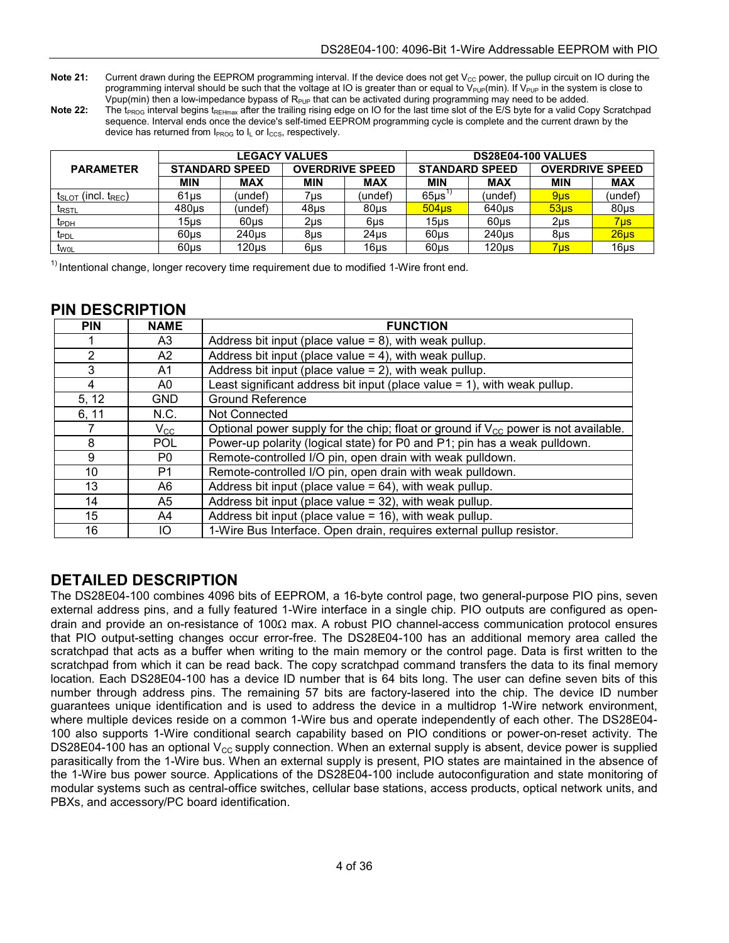- Note 21: Current drawn during the EEPROM programming interval. If the device does not get V<sub>cc</sub> power, the pullup circuit on IO during the programming interval should be such that the voltage at IO is greater than or equal to V<sub>PUP</sub>(min). If V<sub>PUP</sub> in the system is close to Vpup(min) then a low-impedance bypass of  $R_{PUP}$  that can be activated during programming may need to be added.
- Note 22: The t<sub>PROG</sub> interval begins t<sub>REHmax</sub> after the trailing rising edge on IO for the last time slot of the E/S byte for a valid Copy Scratchpad sequence. Interval ends once the device's self-timed EEPROM programming cycle is complete and the current drawn by the device has returned from  $I_{PROG}$  to  $I_L$  or  $I_{CCS}$ , respectively.

|                               |                  |                       | <b>LEGACY VALUES</b> |                        | DS28E04-100 VALUES     |                   |                       |                        |  |
|-------------------------------|------------------|-----------------------|----------------------|------------------------|------------------------|-------------------|-----------------------|------------------------|--|
| <b>PARAMETER</b>              |                  | <b>STANDARD SPEED</b> |                      | <b>OVERDRIVE SPEED</b> |                        |                   | <b>STANDARD SPEED</b> | <b>OVERDRIVE SPEED</b> |  |
|                               | <b>MIN</b>       | <b>MAX</b>            | <b>MIN</b>           | <b>MAX</b>             | <b>MIN</b>             | <b>MAX</b>        | <b>MIN</b>            | <b>MAX</b>             |  |
| $t_{SLOT}$ (incl. $t_{REC}$ ) | 61us             | (undef)               | 7µs                  | (undef)                | $65\mu s$ <sup>1</sup> | (undef)           | 9 <sub>us</sub>       | (undef)                |  |
| t <sub>RSTL</sub>             | 480 <sub>µ</sub> | (undef)               | 48us                 | 80 <sub>µ</sub>        | 504 <sub>µ</sub>       | 640 <sub>µ</sub>  | 53 <sub>us</sub>      | 80us                   |  |
| <b>I</b> PDH                  | 15us             | 60us                  | 2µs                  | 6µs                    | 15us                   | 60us              | $2\mus$               | 7 <sub>us</sub>        |  |
| <b>T</b> PDL                  | 60us             | 240us                 | 8us                  | 24us                   | 60us                   | 240us             | 8us                   | 26us                   |  |
| t <sub>wol</sub>              | 60us             | 120 <sub>us</sub>     | 6us                  | 16us                   | 60us                   | 120 <sub>us</sub> | 7 <sub>us</sub>       | 16us                   |  |

<sup>1)</sup> Intentional change, longer recovery time requirement due to modified 1-Wire front end.

### **PIN DESCRIPTION**

| <b>PIN</b>      | <b>NAME</b>    | <b>FUNCTION</b>                                                                             |
|-----------------|----------------|---------------------------------------------------------------------------------------------|
|                 | A3             | Address bit input (place value $= 8$ ), with weak pullup.                                   |
| $\overline{2}$  | A2             | Address bit input (place value $=$ 4), with weak pullup.                                    |
| 3               | A1             | Address bit input (place value $= 2$ ), with weak pullup.                                   |
| 4               | A0             | Least significant address bit input (place value $= 1$ ), with weak pullup.                 |
| 5, 12           | <b>GND</b>     | <b>Ground Reference</b>                                                                     |
| 6, 11           | N.C.           | Not Connected                                                                               |
|                 | $V_{\rm CC}$   | Optional power supply for the chip; float or ground if $V_{\rm CC}$ power is not available. |
| 8               | <b>POL</b>     | Power-up polarity (logical state) for P0 and P1; pin has a weak pulldown.                   |
| 9               | P0             | Remote-controlled I/O pin, open drain with weak pulldown.                                   |
| 10 <sup>1</sup> | P <sub>1</sub> | Remote-controlled I/O pin, open drain with weak pulldown.                                   |
| 13              | A6             | Address bit input (place value $= 64$ ), with weak pullup.                                  |
| 14              | A5             | Address bit input (place value $=$ 32), with weak pullup.                                   |
| 15              | A4             | Address bit input (place value = 16), with weak pullup.                                     |
| 16              | IО             | 1-Wire Bus Interface. Open drain, requires external pullup resistor.                        |

### **DETAILED DESCRIPTION**

The DS28E04-100 combines 4096 bits of EEPROM, a 16-byte control page, two general-purpose PIO pins, seven external address pins, and a fully featured 1-Wire interface in a single chip. PIO outputs are configured as opendrain and provide an on-resistance of 100 $\Omega$  max. A robust PIO channel-access communication protocol ensures that PIO output-setting changes occur error-free. The DS28E04-100 has an additional memory area called the scratchpad that acts as a buffer when writing to the main memory or the control page. Data is first written to the scratchpad from which it can be read back. The copy scratchpad command transfers the data to its final memory location. Each DS28E04-100 has a device ID number that is 64 bits long. The user can define seven bits of this number through address pins. The remaining 57 bits are factory-lasered into the chip. The device ID number guarantees unique identification and is used to address the device in a multidrop 1-Wire network environment, where multiple devices reside on a common 1-Wire bus and operate independently of each other. The DS28E04- 100 also supports 1-Wire conditional search capability based on PIO conditions or power-on-reset activity. The DS28E04-100 has an optional  $V_{CG}$  supply connection. When an external supply is absent, device power is supplied parasitically from the 1-Wire bus. When an external supply is present, PIO states are maintained in the absence of the 1-Wire bus power source. Applications of the DS28E04-100 include autoconfiguration and state monitoring of modular systems such as central-office switches, cellular base stations, access products, optical network units, and PBXs, and accessory/PC board identification.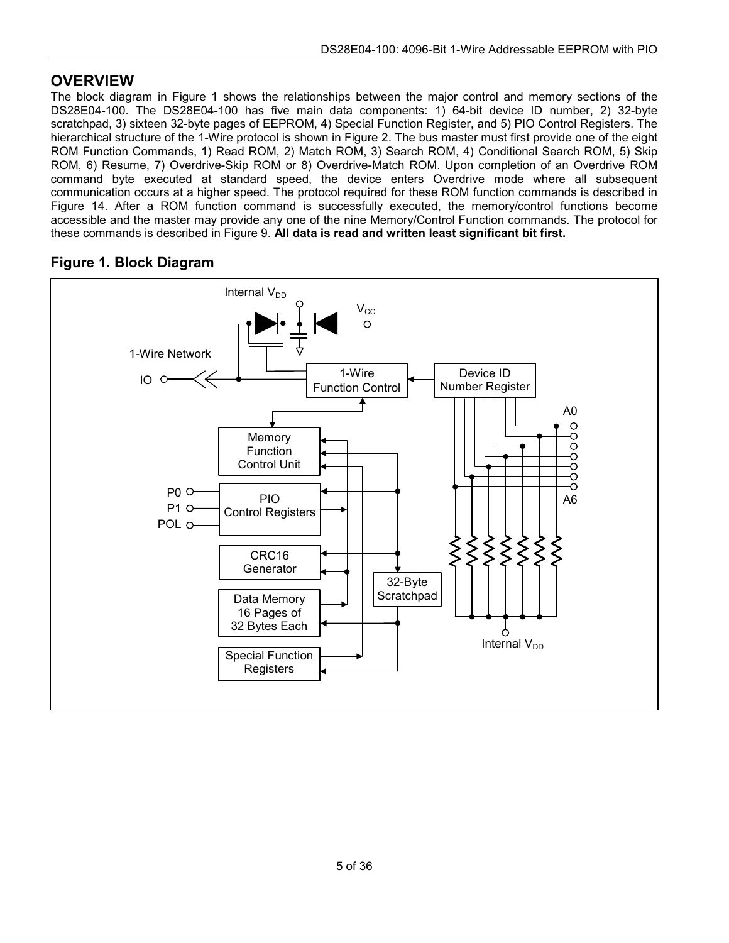# **OVERVIEW**

The block diagram in Figure 1 shows the relationships between the major control and memory sections of the DS28E04-100. The DS28E04-100 has five main data components: 1) 64-bit device ID number, 2) 32-byte scratchpad, 3) sixteen 32-byte pages of EEPROM, 4) Special Function Register, and 5) PIO Control Registers. The hierarchical structure of the 1-Wire protocol is shown in Figure 2. The bus master must first provide one of the eight ROM Function Commands, 1) Read ROM, 2) Match ROM, 3) Search ROM, 4) Conditional Search ROM, 5) Skip ROM, 6) Resume, 7) Overdrive-Skip ROM or 8) Overdrive-Match ROM. Upon completion of an Overdrive ROM command byte executed at standard speed, the device enters Overdrive mode where all subsequent communication occurs at a higher speed. The protocol required for these ROM function commands is described in Figure 14. After a ROM function command is successfully executed, the memory/control functions become accessible and the master may provide any one of the nine Memory/Control Function commands. The protocol for these commands is described in Figure 9. **All data is read and written least significant bit first.** 

# **Figure 1. Block Diagram**

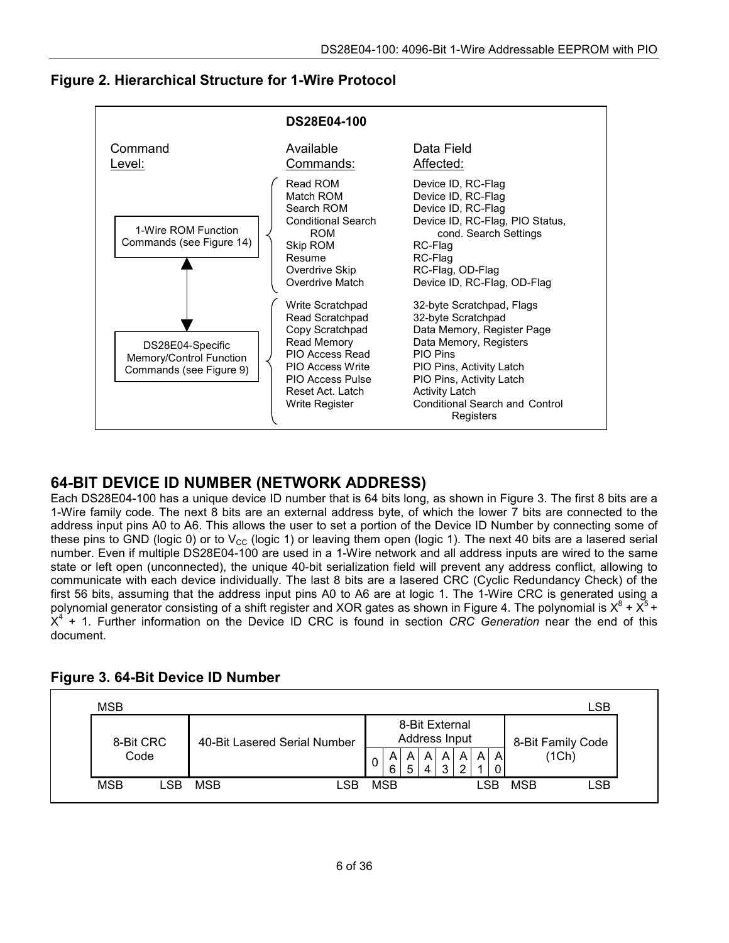



### **64-BIT DEVICE ID NUMBER (NETWORK ADDRESS)**

Each DS28E04-100 has a unique device ID number that is 64 bits long, as shown in Figure 3. The first 8 bits are a 1-Wire family code. The next 8 bits are an external address byte, of which the lower 7 bits are connected to the address input pins A0 to A6. This allows the user to set a portion of the Device ID Number by connecting some of these pins to GND (logic 0) or to  $V_{CC}$  (logic 1) or leaving them open (logic 1). The next 40 bits are a lasered serial number. Even if multiple DS28E04-100 are used in a 1-Wire network and all address inputs are wired to the same state or left open (unconnected), the unique 40-bit serialization field will prevent any address conflict, allowing to communicate with each device individually. The last 8 bits are a lasered CRC (Cyclic Redundancy Check) of the first 56 bits, assuming that the address input pins A0 to A6 are at logic 1. The 1-Wire CRC is generated using a polynomial generator consisting of a shift register and XOR gates as shown in Figure 4. The polynomial is  $X^8 + X^5 +$ X4 + 1. Further information on the Device ID CRC is found in section *CRC Generation* near the end of this document.

| <b>MSB</b>              |                              |                                                                                        | ∟SB                        |
|-------------------------|------------------------------|----------------------------------------------------------------------------------------|----------------------------|
| 8-Bit CRC<br>Code       | 40-Bit Lasered Serial Number | 8-Bit External<br>Address Input<br>A<br>A<br>Α<br>Α<br>A<br>A<br>A<br>$\mathbf 0$<br>6 | 8-Bit Family Code<br>(1Ch) |
| <b>MSB</b><br><b>SB</b> | _SB<br><b>MSB</b>            | <b>MSB</b><br>.SB                                                                      | $\_SB$<br><b>MSB</b>       |

**Figure 3. 64-Bit Device ID Number**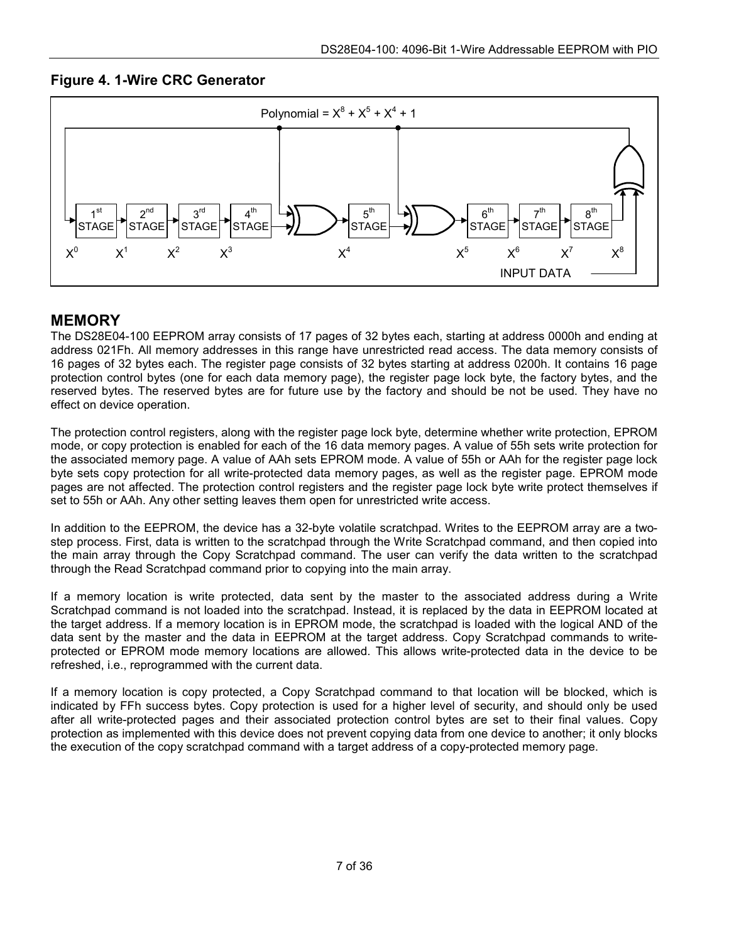### **Figure 4. 1-Wire CRC Generator**



### **MEMORY**

The DS28E04-100 EEPROM array consists of 17 pages of 32 bytes each, starting at address 0000h and ending at address 021Fh. All memory addresses in this range have unrestricted read access. The data memory consists of 16 pages of 32 bytes each. The register page consists of 32 bytes starting at address 0200h. It contains 16 page protection control bytes (one for each data memory page), the register page lock byte, the factory bytes, and the reserved bytes. The reserved bytes are for future use by the factory and should be not be used. They have no effect on device operation.

The protection control registers, along with the register page lock byte, determine whether write protection, EPROM mode, or copy protection is enabled for each of the 16 data memory pages. A value of 55h sets write protection for the associated memory page. A value of AAh sets EPROM mode. A value of 55h or AAh for the register page lock byte sets copy protection for all write-protected data memory pages, as well as the register page. EPROM mode pages are not affected. The protection control registers and the register page lock byte write protect themselves if set to 55h or AAh. Any other setting leaves them open for unrestricted write access.

In addition to the EEPROM, the device has a 32-byte volatile scratchpad. Writes to the EEPROM array are a twostep process. First, data is written to the scratchpad through the Write Scratchpad command, and then copied into the main array through the Copy Scratchpad command. The user can verify the data written to the scratchpad through the Read Scratchpad command prior to copying into the main array.

If a memory location is write protected, data sent by the master to the associated address during a Write Scratchpad command is not loaded into the scratchpad. Instead, it is replaced by the data in EEPROM located at the target address. If a memory location is in EPROM mode, the scratchpad is loaded with the logical AND of the data sent by the master and the data in EEPROM at the target address. Copy Scratchpad commands to writeprotected or EPROM mode memory locations are allowed. This allows write-protected data in the device to be refreshed, i.e., reprogrammed with the current data.

If a memory location is copy protected, a Copy Scratchpad command to that location will be blocked, which is indicated by FFh success bytes. Copy protection is used for a higher level of security, and should only be used after all write-protected pages and their associated protection control bytes are set to their final values. Copy protection as implemented with this device does not prevent copying data from one device to another; it only blocks the execution of the copy scratchpad command with a target address of a copy-protected memory page.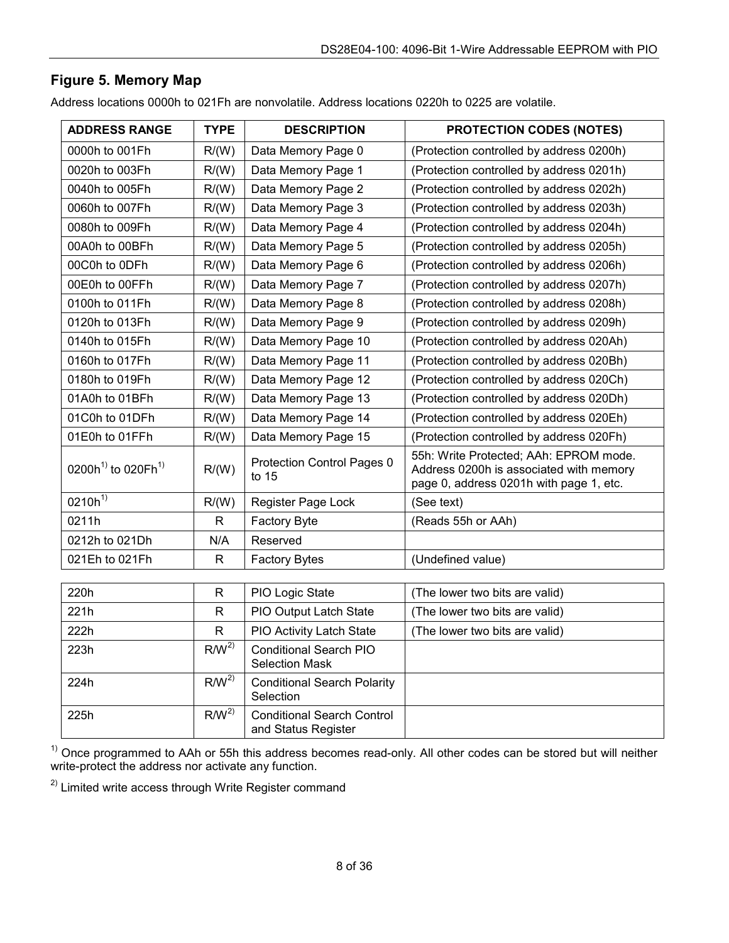# **Figure 5. Memory Map**

Address locations 0000h to 021Fh are nonvolatile. Address locations 0220h to 0225 are volatile.

| <b>ADDRESS RANGE</b>                       | <b>TYPE</b>  | <b>DESCRIPTION</b>                    | <b>PROTECTION CODES (NOTES)</b>                                                                                              |
|--------------------------------------------|--------------|---------------------------------------|------------------------------------------------------------------------------------------------------------------------------|
| 0000h to 001Fh                             | R/(W)        | Data Memory Page 0                    | (Protection controlled by address 0200h)                                                                                     |
| 0020h to 003Fh                             | R/(W)        | Data Memory Page 1                    | (Protection controlled by address 0201h)                                                                                     |
| 0040h to 005Fh                             | R/(W)        | Data Memory Page 2                    | (Protection controlled by address 0202h)                                                                                     |
| 0060h to 007Fh                             | R/(W)        | Data Memory Page 3                    | (Protection controlled by address 0203h)                                                                                     |
| 0080h to 009Fh                             | R/(W)        | Data Memory Page 4                    | (Protection controlled by address 0204h)                                                                                     |
| 00A0h to 00BFh                             | R/(W)        | Data Memory Page 5                    | (Protection controlled by address 0205h)                                                                                     |
| 00C0h to 0DFh                              | R/(W)        | Data Memory Page 6                    | (Protection controlled by address 0206h)                                                                                     |
| 00E0h to 00FFh                             | R/(W)        | Data Memory Page 7                    | (Protection controlled by address 0207h)                                                                                     |
| 0100h to 011Fh                             | R/(W)        | Data Memory Page 8                    | (Protection controlled by address 0208h)                                                                                     |
| 0120h to 013Fh                             | R/(W)        | Data Memory Page 9                    | (Protection controlled by address 0209h)                                                                                     |
| 0140h to 015Fh                             | R/(W)        | Data Memory Page 10                   | (Protection controlled by address 020Ah)                                                                                     |
| 0160h to 017Fh                             | R/(W)        | Data Memory Page 11                   | (Protection controlled by address 020Bh)                                                                                     |
| 0180h to 019Fh                             | R/(W)        | Data Memory Page 12                   | (Protection controlled by address 020Ch)                                                                                     |
| 01A0h to 01BFh                             | R/(W)        | Data Memory Page 13                   | (Protection controlled by address 020Dh)                                                                                     |
| 01C0h to 01DFh                             | R/(W)        | Data Memory Page 14                   | (Protection controlled by address 020Eh)                                                                                     |
| 01E0h to 01FFh                             | R/(W)        | Data Memory Page 15                   | (Protection controlled by address 020Fh)                                                                                     |
| 0200h <sup>1)</sup> to 020Fh <sup>1)</sup> | R/(W)        | Protection Control Pages 0<br>to $15$ | 55h: Write Protected; AAh: EPROM mode.<br>Address 0200h is associated with memory<br>page 0, address 0201h with page 1, etc. |
| $0210h^{1}$                                | R/(W)        | Register Page Lock                    | (See text)                                                                                                                   |
| 0211h                                      | R            | <b>Factory Byte</b>                   | (Reads 55h or AAh)                                                                                                           |
| 0212h to 021Dh                             | N/A          | Reserved                              |                                                                                                                              |
| 021Eh to 021Fh                             | $\mathsf{R}$ | <b>Factory Bytes</b>                  | (Undefined value)                                                                                                            |

| 220h | R               | PIO Logic State                                          | (The lower two bits are valid) |
|------|-----------------|----------------------------------------------------------|--------------------------------|
| 221h | R               | PIO Output Latch State                                   | (The lower two bits are valid) |
| 222h | R.              | PIO Activity Latch State                                 | (The lower two bits are valid) |
| 223h | RM <sup>2</sup> | <b>Conditional Search PIO</b><br><b>Selection Mask</b>   |                                |
| 224h | RM <sup>2</sup> | <b>Conditional Search Polarity</b><br><b>Selection</b>   |                                |
| 225h | RM <sup>2</sup> | <b>Conditional Search Control</b><br>and Status Register |                                |

 $1)$  Once programmed to AAh or 55h this address becomes read-only. All other codes can be stored but will neither write-protect the address nor activate any function.

<sup>2)</sup> Limited write access through Write Register command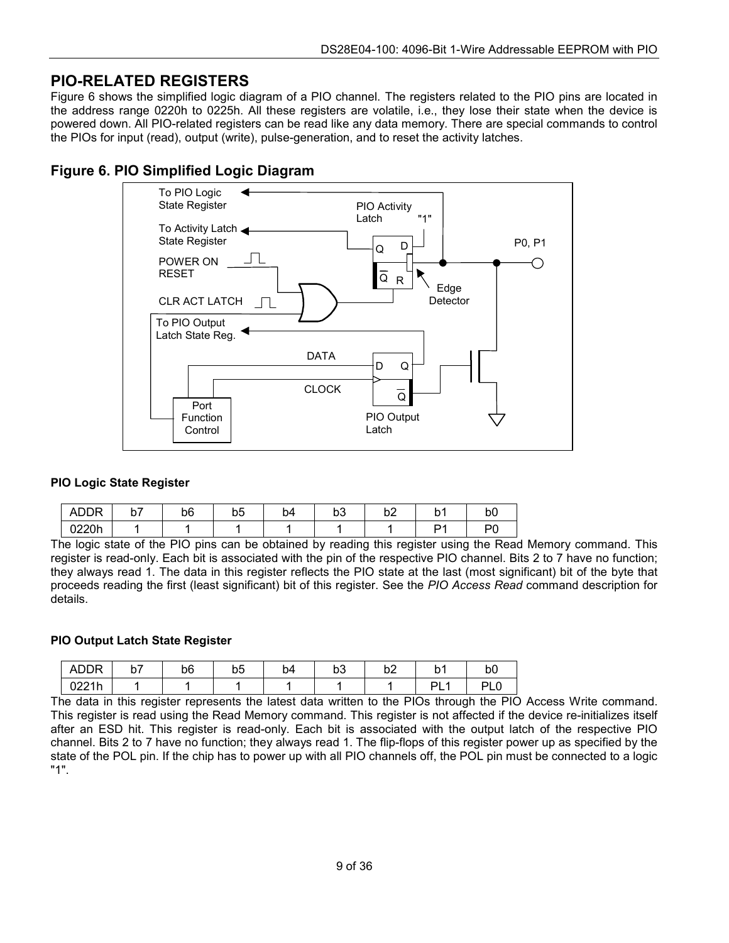# **PIO-RELATED REGISTERS**

Figure 6 shows the simplified logic diagram of a PIO channel. The registers related to the PIO pins are located in the address range 0220h to 0225h. All these registers are volatile, i.e., they lose their state when the device is powered down. All PIO-related registers can be read like any data memory. There are special commands to control the PIOs for input (read), output (write), pulse-generation, and to reset the activity latches.

### **Figure 6. PIO Simplified Logic Diagram**



#### **PIO Logic State Register**

| םחח<br>HL. | -<br>י ש | b6 | -<br>b5 | b4 | $\sim$ $\sim$<br>υo | $h^{\prime}$<br>ധ∠ | ь.<br>N | bC |
|------------|----------|----|---------|----|---------------------|--------------------|---------|----|
| 0220h      |          |    |         |    |                     |                    | D٠      |    |

The logic state of the PIO pins can be obtained by reading this register using the Read Memory command. This register is read-only. Each bit is associated with the pin of the respective PIO channel. Bits 2 to 7 have no function; they always read 1. The data in this register reflects the PIO state at the last (most significant) bit of the byte that proceeds reading the first (least significant) bit of this register. See the *PIO Access Read* command description for details.

#### **PIO Output Latch State Register**

| <b>ADDR</b> | $-7$<br><u>טו</u> | b6 | -<br>nh<br>ົ | D4 | $\mathbf{r}$<br>ບບ | $h^{\prime}$<br>υz | ັ                               | bO       |
|-------------|-------------------|----|--------------|----|--------------------|--------------------|---------------------------------|----------|
| 0221h       |                   |    |              |    |                    |                    | ורו<br>$\overline{\phantom{0}}$ | וח<br>-- |

The data in this register represents the latest data written to the PIOs through the PIO Access Write command. This register is read using the Read Memory command. This register is not affected if the device re-initializes itself after an ESD hit. This register is read-only. Each bit is associated with the output latch of the respective PIO channel. Bits 2 to 7 have no function; they always read 1. The flip-flops of this register power up as specified by the state of the POL pin. If the chip has to power up with all PIO channels off, the POL pin must be connected to a logic "1".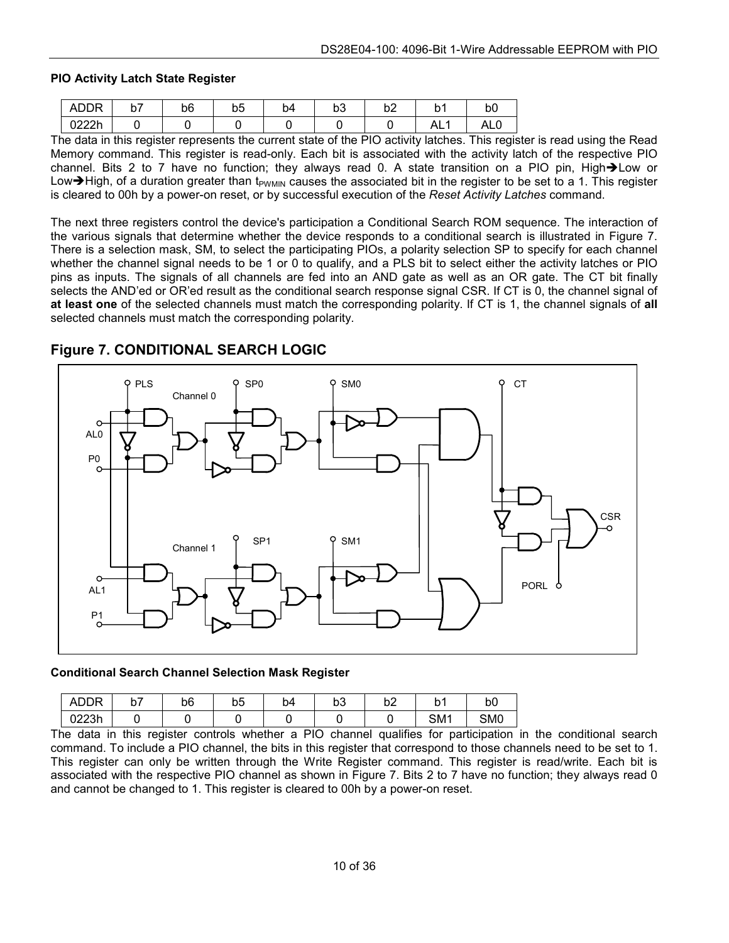#### **PIO Activity Latch State Register**

| <b>DDD</b><br>ADDK | IJ. | b <sub>6</sub> | b5 | b4 | b3 | b <sub>2</sub> | b   | ՟<br>υu   |
|--------------------|-----|----------------|----|----|----|----------------|-----|-----------|
| 0222h              |     |                |    |    |    |                | AL. | Δ'<br>¬∟∪ |

The data in this register represents the current state of the PIO activity latches. This register is read using the Read Memory command. This register is read-only. Each bit is associated with the activity latch of the respective PIO channel. Bits 2 to 7 have no function; they always read 0. A state transition on a PIO pin, High $\rightarrow$ Low or Low $\rightarrow$ High, of a duration greater than t<sub>PWMIN</sub> causes the associated bit in the register to be set to a 1. This register is cleared to 00h by a power-on reset, or by successful execution of the *Reset Activity Latches* command.

The next three registers control the device's participation a Conditional Search ROM sequence. The interaction of the various signals that determine whether the device responds to a conditional search is illustrated in Figure 7. There is a selection mask, SM, to select the participating PIOs, a polarity selection SP to specify for each channel whether the channel signal needs to be 1 or 0 to qualify, and a PLS bit to select either the activity latches or PIO pins as inputs. The signals of all channels are fed into an AND gate as well as an OR gate. The CT bit finally selects the AND'ed or OR'ed result as the conditional search response signal CSR. If CT is 0, the channel signal of **at least one** of the selected channels must match the corresponding polarity. If CT is 1, the channel signals of **all** selected channels must match the corresponding polarity.



### **Figure 7. CONDITIONAL SEARCH LOGIC**

#### **Conditional Search Channel Selection Mask Register**

| ADDR  | $h =$<br>ו ש | b6 | -<br>nh<br>ບບ | D4 | b3 | b2 | h<br>N          | bŪ              |
|-------|--------------|----|---------------|----|----|----|-----------------|-----------------|
| 0223h |              |    |               |    |    |    | SM <sub>1</sub> | SM <sub>0</sub> |

The data in this register controls whether a PIO channel qualifies for participation in the conditional search command. To include a PIO channel, the bits in this register that correspond to those channels need to be set to 1. This register can only be written through the Write Register command. This register is read/write. Each bit is associated with the respective PIO channel as shown in Figure 7. Bits 2 to 7 have no function; they always read 0 and cannot be changed to 1. This register is cleared to 00h by a power-on reset.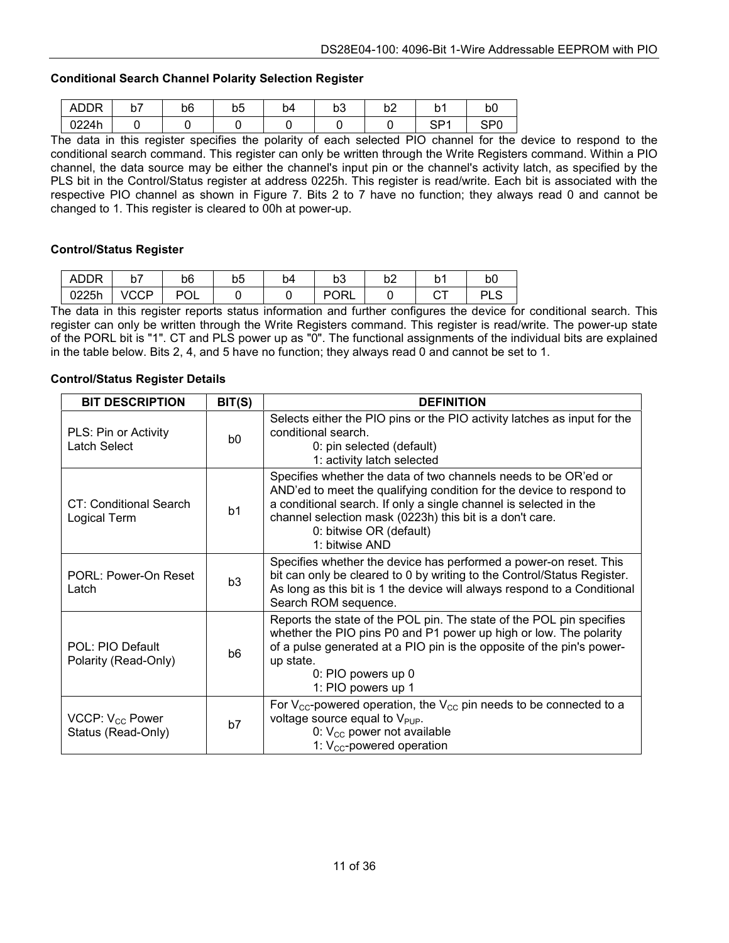#### **Conditional Search Channel Polarity Selection Register**

| <b>ADDR</b> | <b>L-</b><br>v | b6 | b5 | b4 | $h^{\circ}$<br>υs | b <sub>2</sub> | b              | b0        |
|-------------|----------------|----|----|----|-------------------|----------------|----------------|-----------|
| 0224h       |                |    |    |    |                   |                | cn.<br>.<br>υ۱ | enn<br>יש |

The data in this register specifies the polarity of each selected PIO channel for the device to respond to the conditional search command. This register can only be written through the Write Registers command. Within a PIO channel, the data source may be either the channel's input pin or the channel's activity latch, as specified by the PLS bit in the Control/Status register at address 0225h. This register is read/write. Each bit is associated with the respective PIO channel as shown in Figure 7. Bits 2 to 7 have no function; they always read 0 and cannot be changed to 1. This register is cleared to 00h at power-up.

#### **Control/Status Register**

| <b>ADDR</b>           | ັັ        | b6 | ມບ | D4 | $\mathbf{r}$<br>υυ | ◡∠ | ъ.<br>ັ | bC      |
|-----------------------|-----------|----|----|----|--------------------|----|---------|---------|
| <b>0225h</b><br>UZZUH | ICCD<br>v | ◡∟ |    |    | <b>PORL</b>        |    | $-$     | יח<br>└ |

The data in this register reports status information and further configures the device for conditional search. This register can only be written through the Write Registers command. This register is read/write. The power-up state of the PORL bit is "1". CT and PLS power up as "0". The functional assignments of the individual bits are explained in the table below. Bits 2, 4, and 5 have no function; they always read 0 and cannot be set to 1.

#### **Control/Status Register Details**

| <b>BIT DESCRIPTION</b><br>BIT(S)                        |                | <b>DEFINITION</b>                                                                                                                                                                                                                                                                                                     |  |
|---------------------------------------------------------|----------------|-----------------------------------------------------------------------------------------------------------------------------------------------------------------------------------------------------------------------------------------------------------------------------------------------------------------------|--|
| PLS: Pin or Activity<br>Latch Select                    | bΩ             | Selects either the PIO pins or the PIO activity latches as input for the<br>conditional search.<br>0: pin selected (default)<br>1: activity latch selected                                                                                                                                                            |  |
| CT: Conditional Search<br>Logical Term                  | b1             | Specifies whether the data of two channels needs to be OR'ed or<br>AND'ed to meet the qualifying condition for the device to respond to<br>a conditional search. If only a single channel is selected in the<br>channel selection mask (0223h) this bit is a don't care.<br>0: bitwise OR (default)<br>1: bitwise AND |  |
| PORL: Power-On Reset<br>Latch                           | b <sub>3</sub> | Specifies whether the device has performed a power-on reset. This<br>bit can only be cleared to 0 by writing to the Control/Status Register.<br>As long as this bit is 1 the device will always respond to a Conditional<br>Search ROM sequence.                                                                      |  |
| POL: PIO Default<br>b6<br>Polarity (Read-Only)          |                | Reports the state of the POL pin. The state of the POL pin specifies<br>whether the PIO pins P0 and P1 power up high or low. The polarity<br>of a pulse generated at a PIO pin is the opposite of the pin's power-<br>up state.<br>0: PIO powers up 0<br>1: PIO powers up 1                                           |  |
| VCCP: V <sub>cc</sub> Power<br>b7<br>Status (Read-Only) |                | For $V_{\text{CC}}$ -powered operation, the $V_{\text{CC}}$ pin needs to be connected to a<br>voltage source equal to $V_{\text{PUP}}$ .<br>0: $V_{\rm CC}$ power not available<br>1: $V_{CC}$ -powered operation                                                                                                     |  |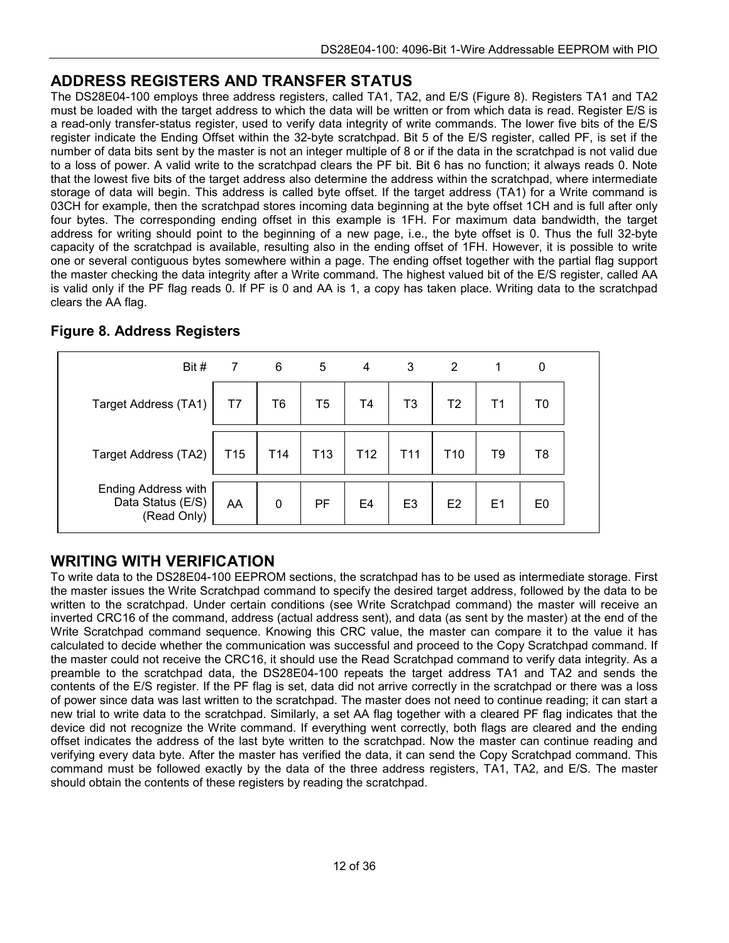# **ADDRESS REGISTERS AND TRANSFER STATUS**

The DS28E04-100 employs three address registers, called TA1, TA2, and E/S (Figure 8). Registers TA1 and TA2 must be loaded with the target address to which the data will be written or from which data is read. Register E/S is a read-only transfer-status register, used to verify data integrity of write commands. The lower five bits of the E/S register indicate the Ending Offset within the 32-byte scratchpad. Bit 5 of the E/S register, called PF, is set if the number of data bits sent by the master is not an integer multiple of 8 or if the data in the scratchpad is not valid due to a loss of power. A valid write to the scratchpad clears the PF bit. Bit 6 has no function; it always reads 0. Note that the lowest five bits of the target address also determine the address within the scratchpad, where intermediate storage of data will begin. This address is called byte offset. If the target address (TA1) for a Write command is 03CH for example, then the scratchpad stores incoming data beginning at the byte offset 1CH and is full after only four bytes. The corresponding ending offset in this example is 1FH. For maximum data bandwidth, the target address for writing should point to the beginning of a new page, i.e., the byte offset is 0. Thus the full 32-byte capacity of the scratchpad is available, resulting also in the ending offset of 1FH. However, it is possible to write one or several contiguous bytes somewhere within a page. The ending offset together with the partial flag support the master checking the data integrity after a Write command. The highest valued bit of the E/S register, called AA is valid only if the PF flag reads 0. If PF is 0 and AA is 1, a copy has taken place. Writing data to the scratchpad clears the AA flag.

| Bit #                                                          | $\overline{7}$  | 6           | 5               | 4               | 3               | 2               |    | 0              |
|----------------------------------------------------------------|-----------------|-------------|-----------------|-----------------|-----------------|-----------------|----|----------------|
| Target Address (TA1)                                           | T7              | T6          | T5              | T4              | T3              | T <sub>2</sub>  | T1 | T0             |
| Target Address (TA2)                                           | T <sub>15</sub> | T14         | T <sub>13</sub> | T <sub>12</sub> | T <sub>11</sub> | T <sub>10</sub> | T9 | T8             |
| <b>Ending Address with</b><br>Data Status (E/S)<br>(Read Only) | AA              | $\mathbf 0$ | <b>PF</b>       | E4              | E <sub>3</sub>  | E <sub>2</sub>  | E1 | E <sub>0</sub> |

### **Figure 8. Address Registers**

# **WRITING WITH VERIFICATION**

To write data to the DS28E04-100 EEPROM sections, the scratchpad has to be used as intermediate storage. First the master issues the Write Scratchpad command to specify the desired target address, followed by the data to be written to the scratchpad. Under certain conditions (see Write Scratchpad command) the master will receive an inverted CRC16 of the command, address (actual address sent), and data (as sent by the master) at the end of the Write Scratchpad command sequence. Knowing this CRC value, the master can compare it to the value it has calculated to decide whether the communication was successful and proceed to the Copy Scratchpad command. If the master could not receive the CRC16, it should use the Read Scratchpad command to verify data integrity. As a preamble to the scratchpad data, the DS28E04-100 repeats the target address TA1 and TA2 and sends the contents of the E/S register. If the PF flag is set, data did not arrive correctly in the scratchpad or there was a loss of power since data was last written to the scratchpad. The master does not need to continue reading; it can start a new trial to write data to the scratchpad. Similarly, a set AA flag together with a cleared PF flag indicates that the device did not recognize the Write command. If everything went correctly, both flags are cleared and the ending offset indicates the address of the last byte written to the scratchpad. Now the master can continue reading and verifying every data byte. After the master has verified the data, it can send the Copy Scratchpad command. This command must be followed exactly by the data of the three address registers, TA1, TA2, and E/S. The master should obtain the contents of these registers by reading the scratchpad.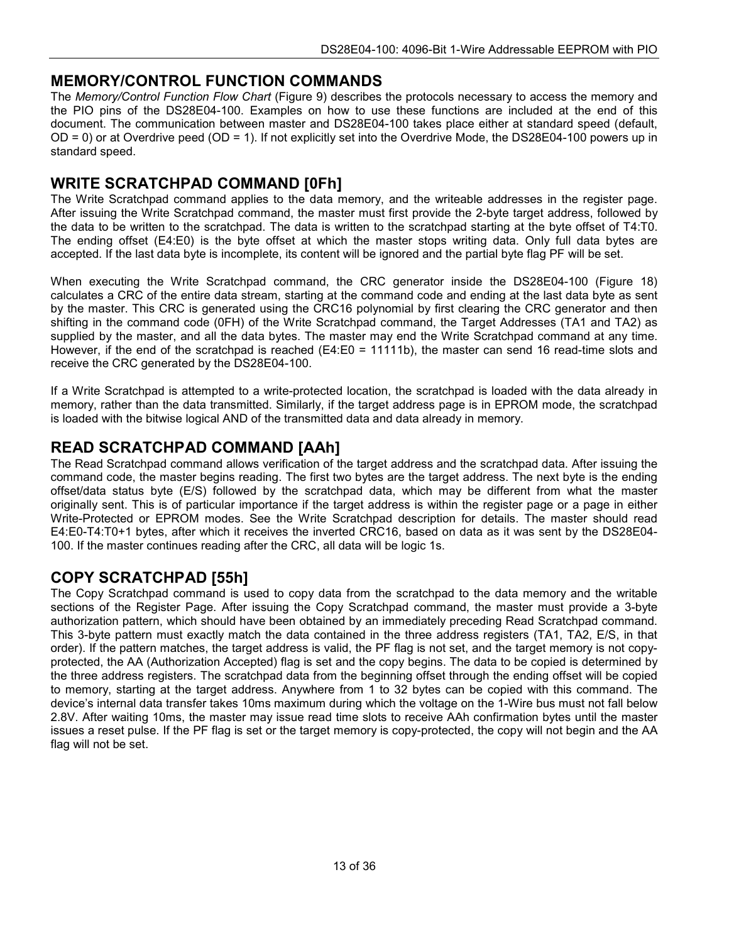### **MEMORY/CONTROL FUNCTION COMMANDS**

The *Memory/Control Function Flow Chart* (Figure 9) describes the protocols necessary to access the memory and the PIO pins of the DS28E04-100. Examples on how to use these functions are included at the end of this document. The communication between master and DS28E04-100 takes place either at standard speed (default, OD = 0) or at Overdrive peed (OD = 1). If not explicitly set into the Overdrive Mode, the DS28E04-100 powers up in standard speed.

### **WRITE SCRATCHPAD COMMAND [0Fh]**

The Write Scratchpad command applies to the data memory, and the writeable addresses in the register page. After issuing the Write Scratchpad command, the master must first provide the 2-byte target address, followed by the data to be written to the scratchpad. The data is written to the scratchpad starting at the byte offset of T4:T0. The ending offset (E4:E0) is the byte offset at which the master stops writing data. Only full data bytes are accepted. If the last data byte is incomplete, its content will be ignored and the partial byte flag PF will be set.

When executing the Write Scratchpad command, the CRC generator inside the DS28E04-100 (Figure 18) calculates a CRC of the entire data stream, starting at the command code and ending at the last data byte as sent by the master. This CRC is generated using the CRC16 polynomial by first clearing the CRC generator and then shifting in the command code (0FH) of the Write Scratchpad command, the Target Addresses (TA1 and TA2) as supplied by the master, and all the data bytes. The master may end the Write Scratchpad command at any time. However, if the end of the scratchpad is reached (E4:E0 = 11111b), the master can send 16 read-time slots and receive the CRC generated by the DS28E04-100.

If a Write Scratchpad is attempted to a write-protected location, the scratchpad is loaded with the data already in memory, rather than the data transmitted. Similarly, if the target address page is in EPROM mode, the scratchpad is loaded with the bitwise logical AND of the transmitted data and data already in memory.

### **READ SCRATCHPAD COMMAND [AAh]**

The Read Scratchpad command allows verification of the target address and the scratchpad data. After issuing the command code, the master begins reading. The first two bytes are the target address. The next byte is the ending offset/data status byte (E/S) followed by the scratchpad data, which may be different from what the master originally sent. This is of particular importance if the target address is within the register page or a page in either Write-Protected or EPROM modes. See the Write Scratchpad description for details. The master should read E4:E0-T4:T0+1 bytes, after which it receives the inverted CRC16, based on data as it was sent by the DS28E04- 100. If the master continues reading after the CRC, all data will be logic 1s.

# **COPY SCRATCHPAD [55h]**

The Copy Scratchpad command is used to copy data from the scratchpad to the data memory and the writable sections of the Register Page. After issuing the Copy Scratchpad command, the master must provide a 3-byte authorization pattern, which should have been obtained by an immediately preceding Read Scratchpad command. This 3-byte pattern must exactly match the data contained in the three address registers (TA1, TA2, E/S, in that order). If the pattern matches, the target address is valid, the PF flag is not set, and the target memory is not copyprotected, the AA (Authorization Accepted) flag is set and the copy begins. The data to be copied is determined by the three address registers. The scratchpad data from the beginning offset through the ending offset will be copied to memory, starting at the target address. Anywhere from 1 to 32 bytes can be copied with this command. The device's internal data transfer takes 10ms maximum during which the voltage on the 1-Wire bus must not fall below 2.8V. After waiting 10ms, the master may issue read time slots to receive AAh confirmation bytes until the master issues a reset pulse. If the PF flag is set or the target memory is copy-protected, the copy will not begin and the AA flag will not be set.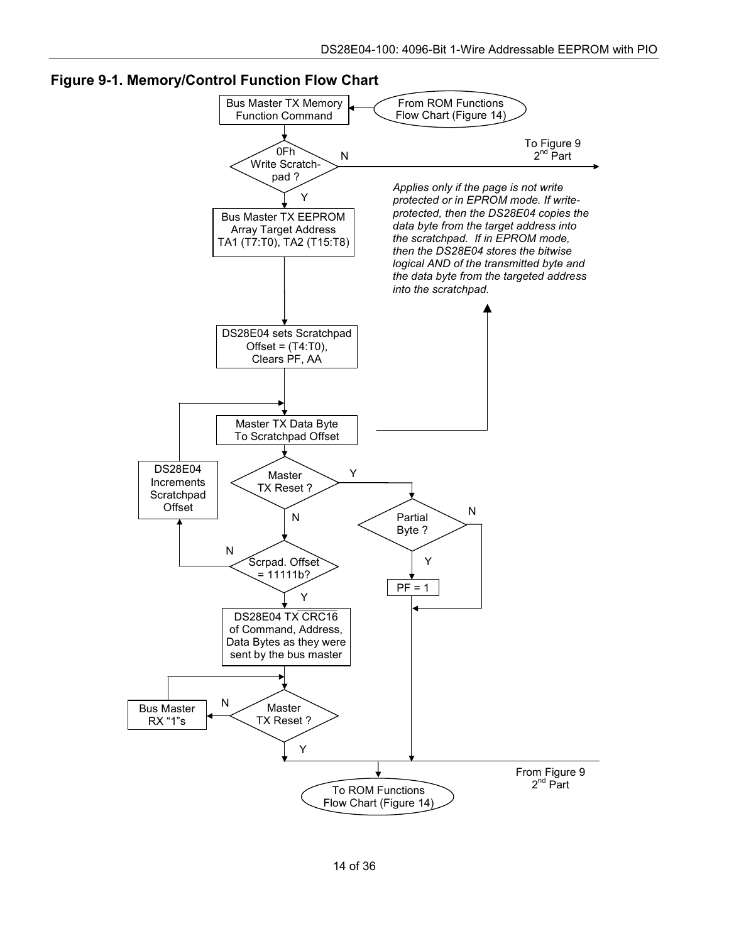

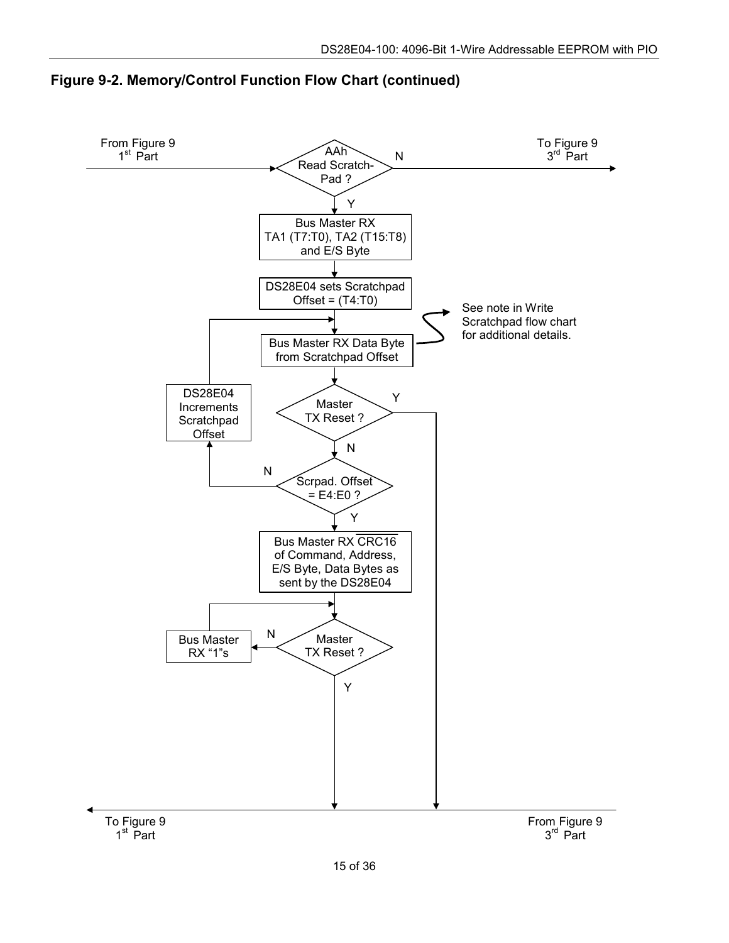

**Figure 9-2. Memory/Control Function Flow Chart (continued)**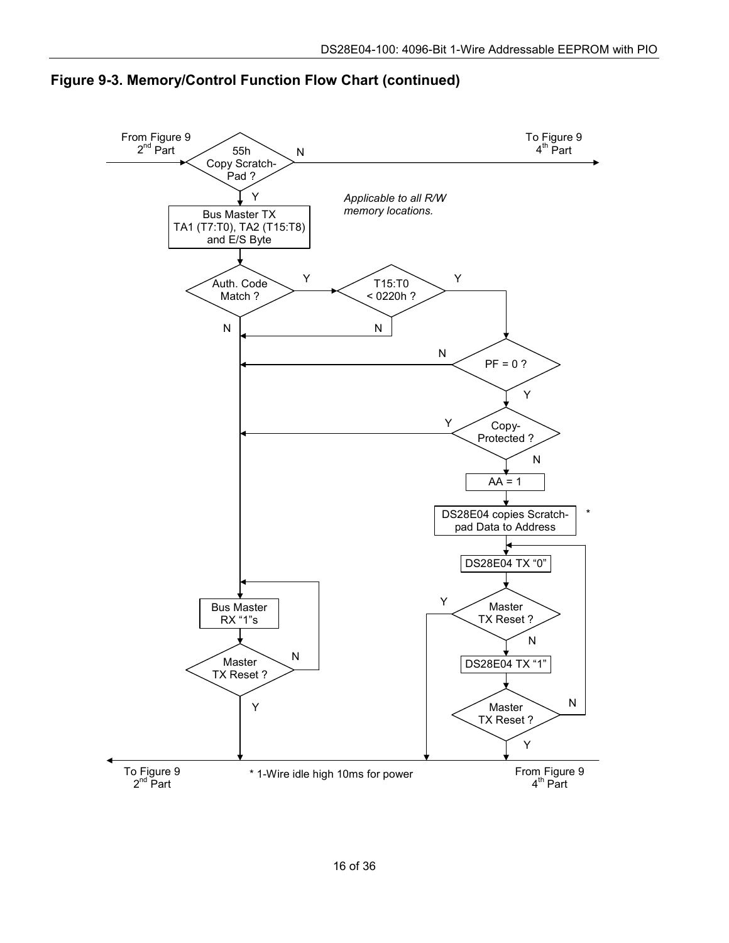

**Figure 9-3. Memory/Control Function Flow Chart (continued)**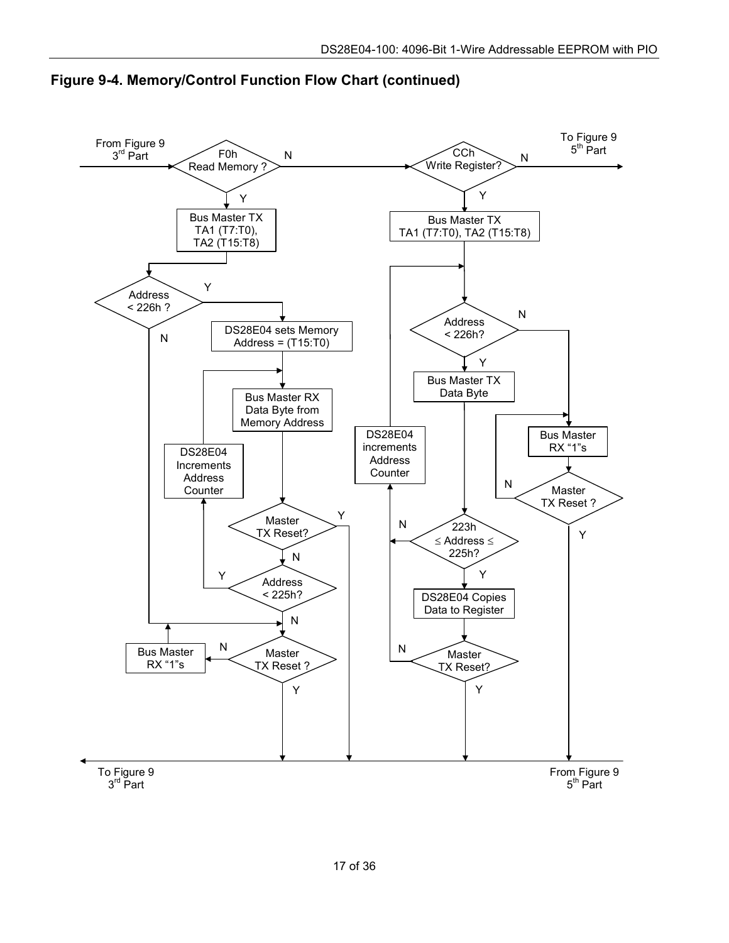

**Figure 9-4. Memory/Control Function Flow Chart (continued)**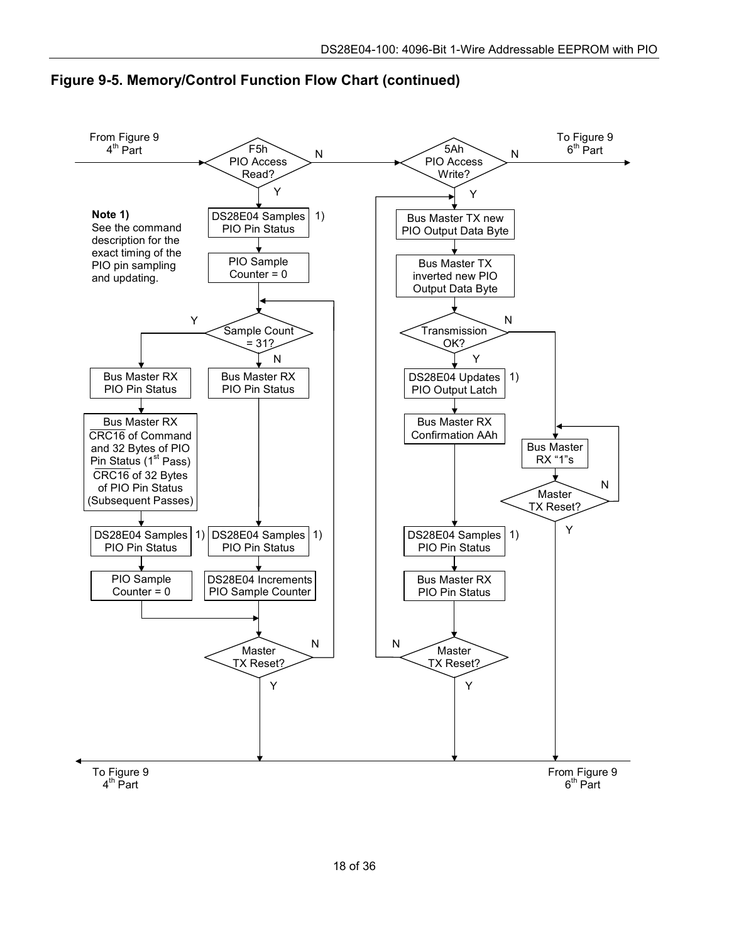

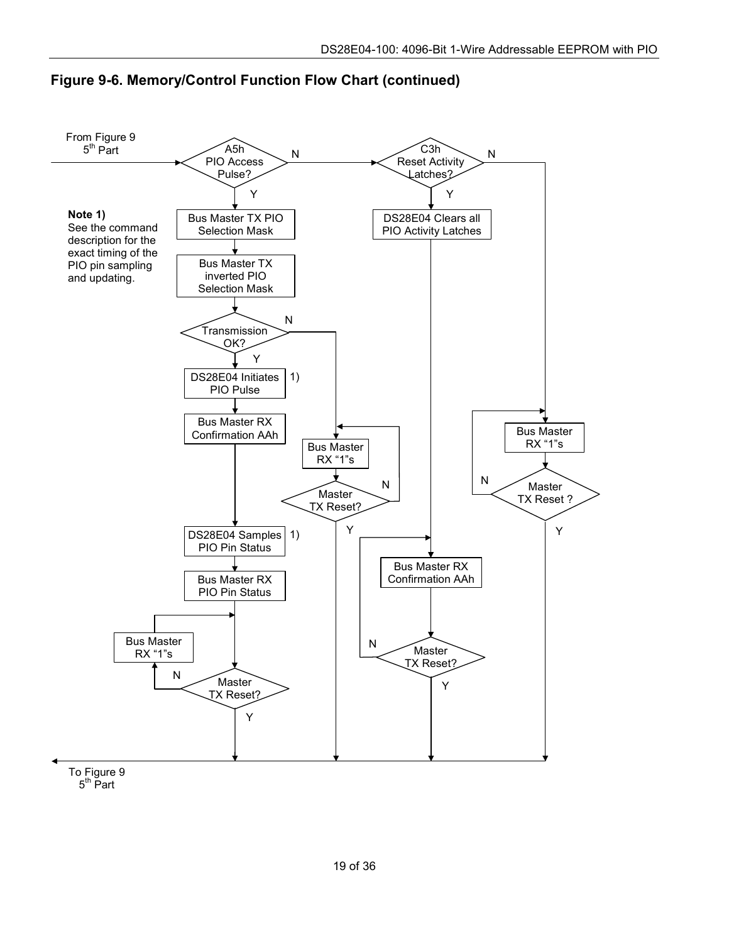

### **Figure 9-6. Memory/Control Function Flow Chart (continued)**

To Figure 9  $5<sup>th</sup>$  Part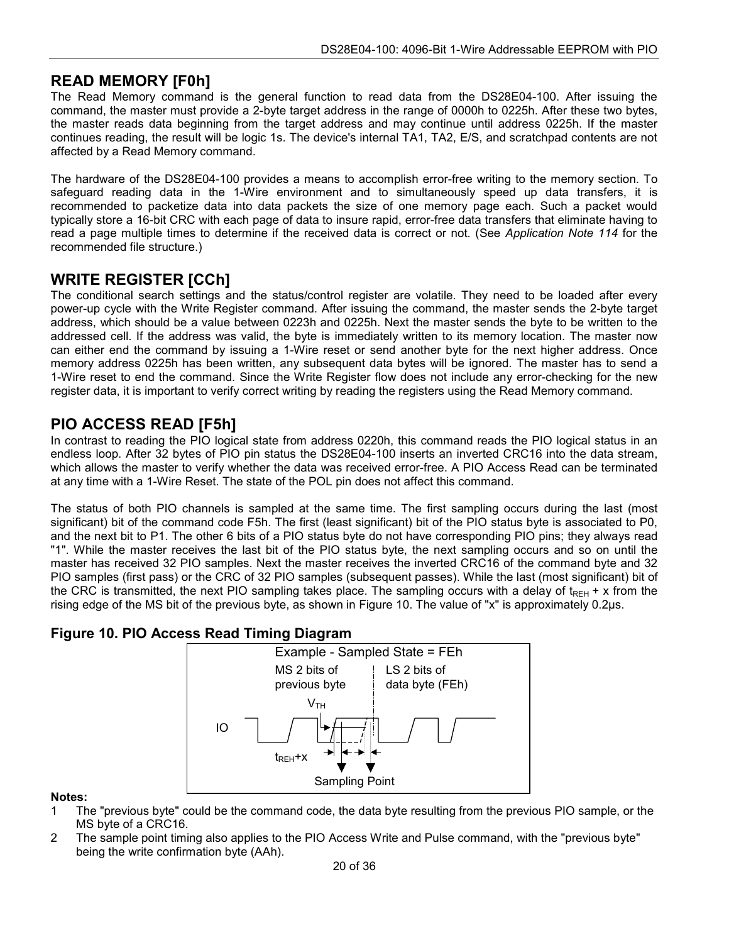# **READ MEMORY [F0h]**

The Read Memory command is the general function to read data from the DS28E04-100. After issuing the command, the master must provide a 2-byte target address in the range of 0000h to 0225h. After these two bytes, the master reads data beginning from the target address and may continue until address 0225h. If the master continues reading, the result will be logic 1s. The device's internal TA1, TA2, E/S, and scratchpad contents are not affected by a Read Memory command.

The hardware of the DS28E04-100 provides a means to accomplish error-free writing to the memory section. To safeguard reading data in the 1-Wire environment and to simultaneously speed up data transfers, it is recommended to packetize data into data packets the size of one memory page each. Such a packet would typically store a 16-bit CRC with each page of data to insure rapid, error-free data transfers that eliminate having to read a page multiple times to determine if the received data is correct or not. (See *Application Note 114* for the recommended file structure.)

# **WRITE REGISTER [CCh]**

The conditional search settings and the status/control register are volatile. They need to be loaded after every power-up cycle with the Write Register command. After issuing the command, the master sends the 2-byte target address, which should be a value between 0223h and 0225h. Next the master sends the byte to be written to the addressed cell. If the address was valid, the byte is immediately written to its memory location. The master now can either end the command by issuing a 1-Wire reset or send another byte for the next higher address. Once memory address 0225h has been written, any subsequent data bytes will be ignored. The master has to send a 1-Wire reset to end the command. Since the Write Register flow does not include any error-checking for the new register data, it is important to verify correct writing by reading the registers using the Read Memory command.

# **PIO ACCESS READ [F5h]**

In contrast to reading the PIO logical state from address 0220h, this command reads the PIO logical status in an endless loop. After 32 bytes of PIO pin status the DS28E04-100 inserts an inverted CRC16 into the data stream, which allows the master to verify whether the data was received error-free. A PIO Access Read can be terminated at any time with a 1-Wire Reset. The state of the POL pin does not affect this command.

The status of both PIO channels is sampled at the same time. The first sampling occurs during the last (most significant) bit of the command code F5h. The first (least significant) bit of the PIO status byte is associated to P0, and the next bit to P1. The other 6 bits of a PIO status byte do not have corresponding PIO pins; they always read "1". While the master receives the last bit of the PIO status byte, the next sampling occurs and so on until the master has received 32 PIO samples. Next the master receives the inverted CRC16 of the command byte and 32 PIO samples (first pass) or the CRC of 32 PIO samples (subsequent passes). While the last (most significant) bit of the CRC is transmitted, the next PIO sampling takes place. The sampling occurs with a delay of  $t_{\text{R}} + x$  from the rising edge of the MS bit of the previous byte, as shown in Figure 10. The value of "x" is approximately 0.2µs.

### **Figure 10. PIO Access Read Timing Diagram**



#### **Notes:**

- 1 The "previous byte" could be the command code, the data byte resulting from the previous PIO sample, or the MS byte of a CRC16.
- 2 The sample point timing also applies to the PIO Access Write and Pulse command, with the "previous byte" being the write confirmation byte (AAh).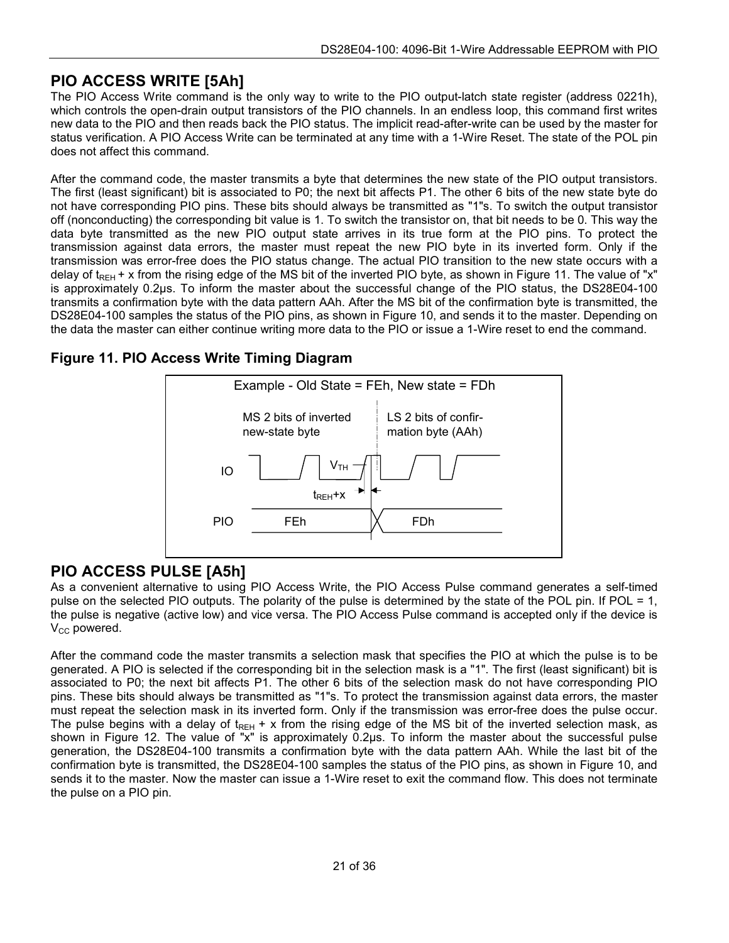# **PIO ACCESS WRITE [5Ah]**

The PIO Access Write command is the only way to write to the PIO output-latch state register (address 0221h), which controls the open-drain output transistors of the PIO channels. In an endless loop, this command first writes new data to the PIO and then reads back the PIO status. The implicit read-after-write can be used by the master for status verification. A PIO Access Write can be terminated at any time with a 1-Wire Reset. The state of the POL pin does not affect this command.

After the command code, the master transmits a byte that determines the new state of the PIO output transistors. The first (least significant) bit is associated to P0; the next bit affects P1. The other 6 bits of the new state byte do not have corresponding PIO pins. These bits should always be transmitted as "1"s. To switch the output transistor off (nonconducting) the corresponding bit value is 1. To switch the transistor on, that bit needs to be 0. This way the data byte transmitted as the new PIO output state arrives in its true form at the PIO pins. To protect the transmission against data errors, the master must repeat the new PIO byte in its inverted form. Only if the transmission was error-free does the PIO status change. The actual PIO transition to the new state occurs with a delay of  $t_{REH}$  + x from the rising edge of the MS bit of the inverted PIO byte, as shown in Figure 11. The value of "x" is approximately 0.2µs. To inform the master about the successful change of the PIO status, the DS28E04-100 transmits a confirmation byte with the data pattern AAh. After the MS bit of the confirmation byte is transmitted, the DS28E04-100 samples the status of the PIO pins, as shown in Figure 10, and sends it to the master. Depending on the data the master can either continue writing more data to the PIO or issue a 1-Wire reset to end the command.

### **Figure 11. PIO Access Write Timing Diagram**



# **PIO ACCESS PULSE [A5h]**

As a convenient alternative to using PIO Access Write, the PIO Access Pulse command generates a self-timed pulse on the selected PIO outputs. The polarity of the pulse is determined by the state of the POL pin. If POL = 1, the pulse is negative (active low) and vice versa. The PIO Access Pulse command is accepted only if the device is  $V_{CC}$  powered.

After the command code the master transmits a selection mask that specifies the PIO at which the pulse is to be generated. A PIO is selected if the corresponding bit in the selection mask is a "1". The first (least significant) bit is associated to P0; the next bit affects P1. The other 6 bits of the selection mask do not have corresponding PIO pins. These bits should always be transmitted as "1"s. To protect the transmission against data errors, the master must repeat the selection mask in its inverted form. Only if the transmission was error-free does the pulse occur. The pulse begins with a delay of  $t_{REH}$  + x from the rising edge of the MS bit of the inverted selection mask, as shown in Figure 12. The value of "x" is approximately 0.2µs. To inform the master about the successful pulse generation, the DS28E04-100 transmits a confirmation byte with the data pattern AAh. While the last bit of the confirmation byte is transmitted, the DS28E04-100 samples the status of the PIO pins, as shown in Figure 10, and sends it to the master. Now the master can issue a 1-Wire reset to exit the command flow. This does not terminate the pulse on a PIO pin.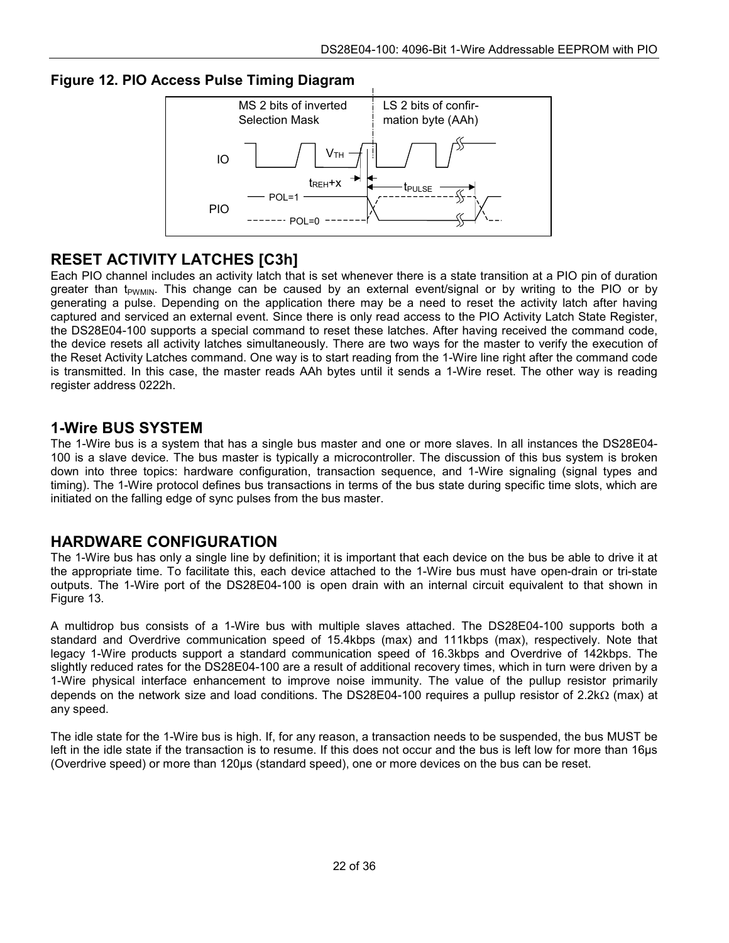**Figure 12. PIO Access Pulse Timing Diagram** 



### **RESET ACTIVITY LATCHES [C3h]**

Each PIO channel includes an activity latch that is set whenever there is a state transition at a PIO pin of duration greater than t<sub>PWMIN</sub>. This change can be caused by an external event/signal or by writing to the PIO or by generating a pulse. Depending on the application there may be a need to reset the activity latch after having captured and serviced an external event. Since there is only read access to the PIO Activity Latch State Register, the DS28E04-100 supports a special command to reset these latches. After having received the command code, the device resets all activity latches simultaneously. There are two ways for the master to verify the execution of the Reset Activity Latches command. One way is to start reading from the 1-Wire line right after the command code is transmitted. In this case, the master reads AAh bytes until it sends a 1-Wire reset. The other way is reading register address 0222h.

### **1-Wire BUS SYSTEM**

The 1-Wire bus is a system that has a single bus master and one or more slaves. In all instances the DS28E04- 100 is a slave device. The bus master is typically a microcontroller. The discussion of this bus system is broken down into three topics: hardware configuration, transaction sequence, and 1-Wire signaling (signal types and timing). The 1-Wire protocol defines bus transactions in terms of the bus state during specific time slots, which are initiated on the falling edge of sync pulses from the bus master.

### **HARDWARE CONFIGURATION**

The 1-Wire bus has only a single line by definition; it is important that each device on the bus be able to drive it at the appropriate time. To facilitate this, each device attached to the 1-Wire bus must have open-drain or tri-state outputs. The 1-Wire port of the DS28E04-100 is open drain with an internal circuit equivalent to that shown in Figure 13.

A multidrop bus consists of a 1-Wire bus with multiple slaves attached. The DS28E04-100 supports both a standard and Overdrive communication speed of 15.4kbps (max) and 111kbps (max), respectively. Note that legacy 1-Wire products support a standard communication speed of 16.3kbps and Overdrive of 142kbps. The slightly reduced rates for the DS28E04-100 are a result of additional recovery times, which in turn were driven by a 1-Wire physical interface enhancement to improve noise immunity. The value of the pullup resistor primarily depends on the network size and load conditions. The DS28E04-100 requires a pullup resistor of 2.2k $\Omega$  (max) at any speed.

The idle state for the 1-Wire bus is high. If, for any reason, a transaction needs to be suspended, the bus MUST be left in the idle state if the transaction is to resume. If this does not occur and the bus is left low for more than 16µs (Overdrive speed) or more than 120µs (standard speed), one or more devices on the bus can be reset.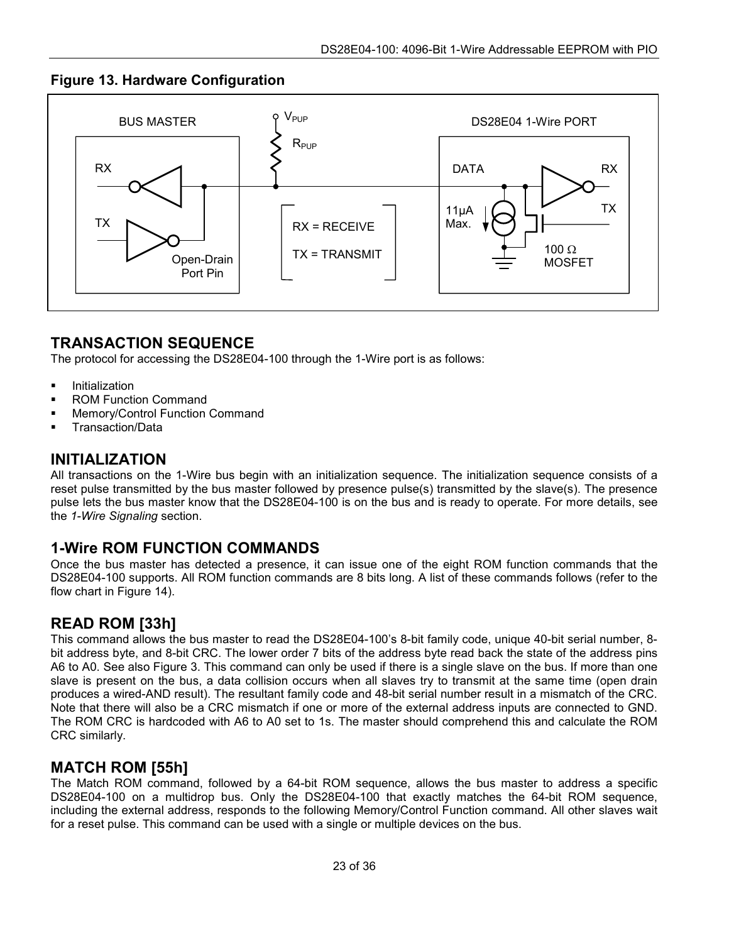### **Figure 13. Hardware Configuration**



# **TRANSACTION SEQUENCE**

The protocol for accessing the DS28E04-100 through the 1-Wire port is as follows:

- -Initialization
- -ROM Function Command
- -Memory/Control Function Command
- -Transaction/Data

### **INITIALIZATION**

All transactions on the 1-Wire bus begin with an initialization sequence. The initialization sequence consists of a reset pulse transmitted by the bus master followed by presence pulse(s) transmitted by the slave(s). The presence pulse lets the bus master know that the DS28E04-100 is on the bus and is ready to operate. For more details, see the *1-Wire Signaling* section.

### **1-Wire ROM FUNCTION COMMANDS**

Once the bus master has detected a presence, it can issue one of the eight ROM function commands that the DS28E04-100 supports. All ROM function commands are 8 bits long. A list of these commands follows (refer to the flow chart in Figure 14).

# **READ ROM [33h]**

This command allows the bus master to read the DS28E04-100's 8-bit family code, unique 40-bit serial number, 8 bit address byte, and 8-bit CRC. The lower order 7 bits of the address byte read back the state of the address pins A6 to A0. See also Figure 3. This command can only be used if there is a single slave on the bus. If more than one slave is present on the bus, a data collision occurs when all slaves try to transmit at the same time (open drain produces a wired-AND result). The resultant family code and 48-bit serial number result in a mismatch of the CRC. Note that there will also be a CRC mismatch if one or more of the external address inputs are connected to GND. The ROM CRC is hardcoded with A6 to A0 set to 1s. The master should comprehend this and calculate the ROM CRC similarly.

### **MATCH ROM [55h]**

The Match ROM command, followed by a 64-bit ROM sequence, allows the bus master to address a specific DS28E04-100 on a multidrop bus. Only the DS28E04-100 that exactly matches the 64-bit ROM sequence, including the external address, responds to the following Memory/Control Function command. All other slaves wait for a reset pulse. This command can be used with a single or multiple devices on the bus.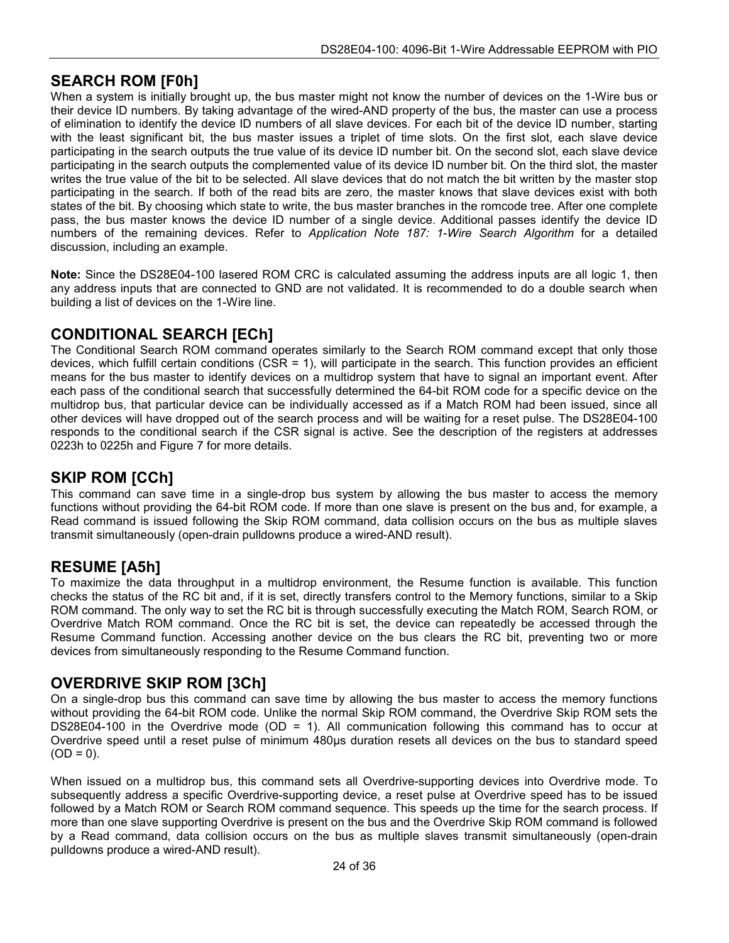# **SEARCH ROM [F0h]**

When a system is initially brought up, the bus master might not know the number of devices on the 1-Wire bus or their device ID numbers. By taking advantage of the wired-AND property of the bus, the master can use a process of elimination to identify the device ID numbers of all slave devices. For each bit of the device ID number, starting with the least significant bit, the bus master issues a triplet of time slots. On the first slot, each slave device participating in the search outputs the true value of its device ID number bit. On the second slot, each slave device participating in the search outputs the complemented value of its device ID number bit. On the third slot, the master writes the true value of the bit to be selected. All slave devices that do not match the bit written by the master stop participating in the search. If both of the read bits are zero, the master knows that slave devices exist with both states of the bit. By choosing which state to write, the bus master branches in the romcode tree. After one complete pass, the bus master knows the device ID number of a single device. Additional passes identify the device ID numbers of the remaining devices. Refer to *Application Note 187: 1-Wire Search Algorithm* for a detailed discussion, including an example.

**Note:** Since the DS28E04-100 lasered ROM CRC is calculated assuming the address inputs are all logic 1, then any address inputs that are connected to GND are not validated. It is recommended to do a double search when building a list of devices on the 1-Wire line.

# **CONDITIONAL SEARCH [ECh]**

The Conditional Search ROM command operates similarly to the Search ROM command except that only those devices, which fulfill certain conditions (CSR = 1), will participate in the search. This function provides an efficient means for the bus master to identify devices on a multidrop system that have to signal an important event. After each pass of the conditional search that successfully determined the 64-bit ROM code for a specific device on the multidrop bus, that particular device can be individually accessed as if a Match ROM had been issued, since all other devices will have dropped out of the search process and will be waiting for a reset pulse. The DS28E04-100 responds to the conditional search if the CSR signal is active. See the description of the registers at addresses 0223h to 0225h and Figure 7 for more details.

# **SKIP ROM [CCh]**

This command can save time in a single-drop bus system by allowing the bus master to access the memory functions without providing the 64-bit ROM code. If more than one slave is present on the bus and, for example, a Read command is issued following the Skip ROM command, data collision occurs on the bus as multiple slaves transmit simultaneously (open-drain pulldowns produce a wired-AND result).

### **RESUME [A5h]**

To maximize the data throughput in a multidrop environment, the Resume function is available. This function checks the status of the RC bit and, if it is set, directly transfers control to the Memory functions, similar to a Skip ROM command. The only way to set the RC bit is through successfully executing the Match ROM, Search ROM, or Overdrive Match ROM command. Once the RC bit is set, the device can repeatedly be accessed through the Resume Command function. Accessing another device on the bus clears the RC bit, preventing two or more devices from simultaneously responding to the Resume Command function.

### **OVERDRIVE SKIP ROM [3Ch]**

On a single-drop bus this command can save time by allowing the bus master to access the memory functions without providing the 64-bit ROM code. Unlike the normal Skip ROM command, the Overdrive Skip ROM sets the DS28E04-100 in the Overdrive mode (OD = 1). All communication following this command has to occur at Overdrive speed until a reset pulse of minimum 480µs duration resets all devices on the bus to standard speed  $(OD = 0).$ 

When issued on a multidrop bus, this command sets all Overdrive-supporting devices into Overdrive mode. To subsequently address a specific Overdrive-supporting device, a reset pulse at Overdrive speed has to be issued followed by a Match ROM or Search ROM command sequence. This speeds up the time for the search process. If more than one slave supporting Overdrive is present on the bus and the Overdrive Skip ROM command is followed by a Read command, data collision occurs on the bus as multiple slaves transmit simultaneously (open-drain pulldowns produce a wired-AND result).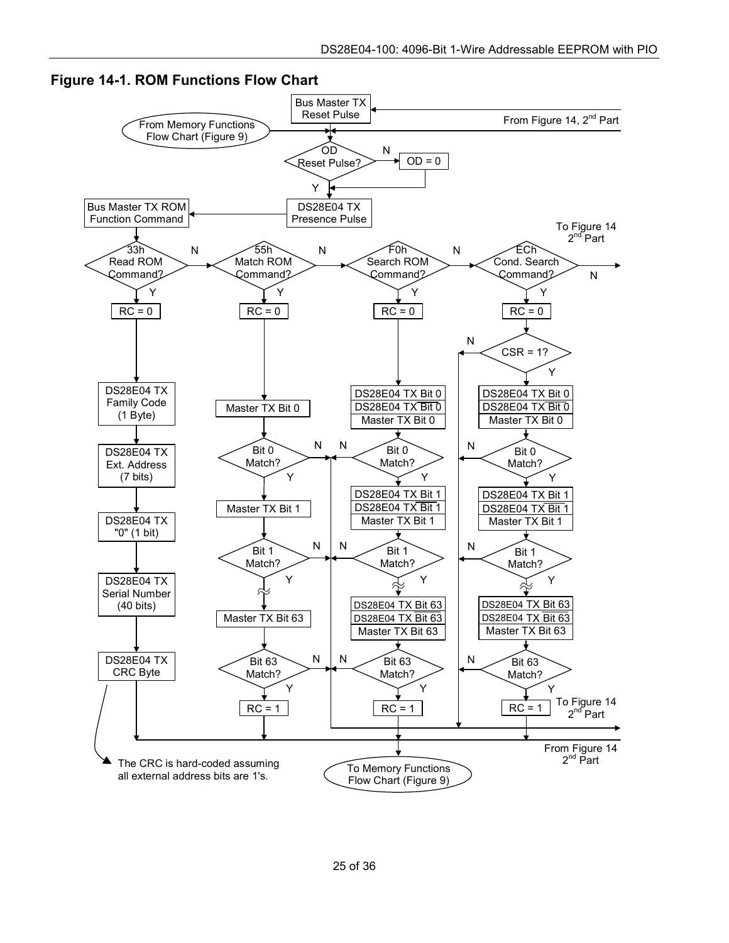

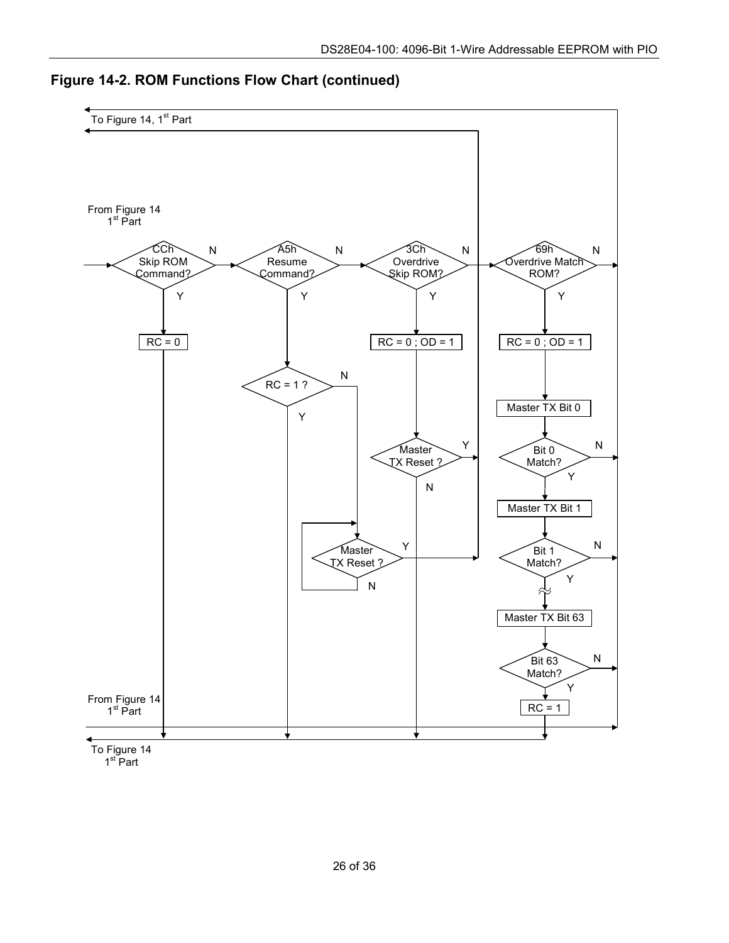

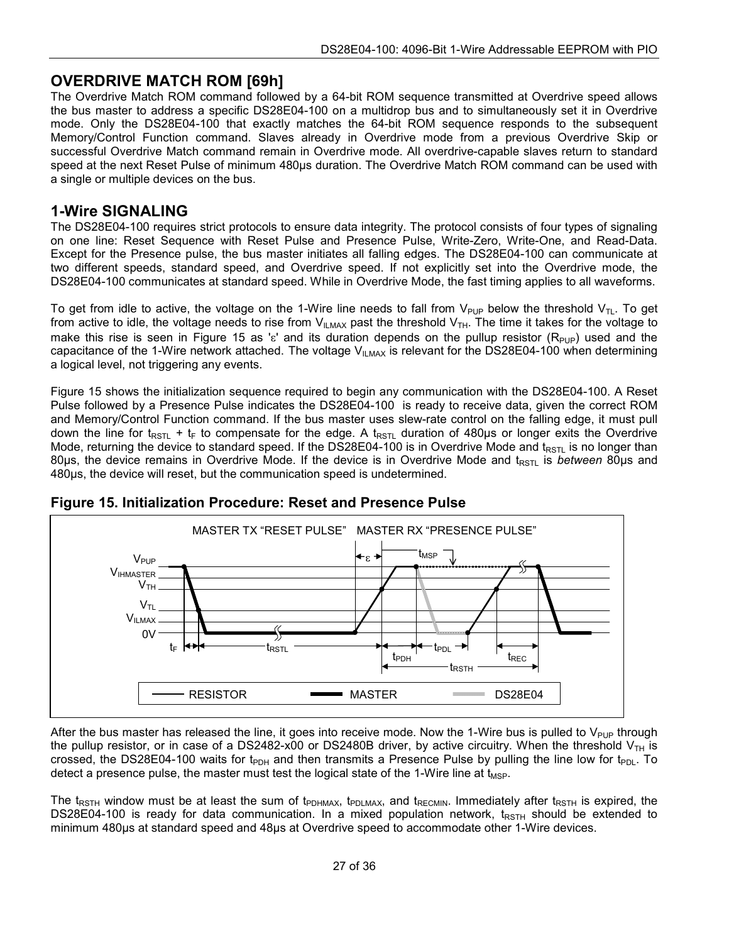# **OVERDRIVE MATCH ROM [69h]**

The Overdrive Match ROM command followed by a 64-bit ROM sequence transmitted at Overdrive speed allows the bus master to address a specific DS28E04-100 on a multidrop bus and to simultaneously set it in Overdrive mode. Only the DS28E04-100 that exactly matches the 64-bit ROM sequence responds to the subsequent Memory/Control Function command. Slaves already in Overdrive mode from a previous Overdrive Skip or successful Overdrive Match command remain in Overdrive mode. All overdrive-capable slaves return to standard speed at the next Reset Pulse of minimum 480us duration. The Overdrive Match ROM command can be used with a single or multiple devices on the bus.

# **1-Wire SIGNALING**

The DS28E04-100 requires strict protocols to ensure data integrity. The protocol consists of four types of signaling on one line: Reset Sequence with Reset Pulse and Presence Pulse, Write-Zero, Write-One, and Read-Data. Except for the Presence pulse, the bus master initiates all falling edges. The DS28E04-100 can communicate at two different speeds, standard speed, and Overdrive speed. If not explicitly set into the Overdrive mode, the DS28E04-100 communicates at standard speed. While in Overdrive Mode, the fast timing applies to all waveforms.

To get from idle to active, the voltage on the 1-Wire line needs to fall from  $V_{PUP}$  below the threshold  $V_{TL}$ . To get from active to idle, the voltage needs to rise from  $V_{ILMAX}$  past the threshold  $V_{TH}$ . The time it takes for the voltage to make this rise is seen in Figure 15 as 's' and its duration depends on the pullup resistor  $(R_{PUP})$  used and the capacitance of the 1-Wire network attached. The voltage  $V_{ILMAX}$  is relevant for the DS28E04-100 when determining a logical level, not triggering any events.

Figure 15 shows the initialization sequence required to begin any communication with the DS28E04-100. A Reset Pulse followed by a Presence Pulse indicates the DS28E04-100 is ready to receive data, given the correct ROM and Memory/Control Function command. If the bus master uses slew-rate control on the falling edge, it must pull down the line for t<sub>RSTL</sub> + t<sub>F</sub> to compensate for the edge. A t<sub>RSTL</sub> duration of 480µs or longer exits the Overdrive Mode, returning the device to standard speed. If the DS28E04-100 is in Overdrive Mode and t<sub>RSTL</sub> is no longer than 80µs, the device remains in Overdrive Mode. If the device is in Overdrive Mode and t<sub>RSTL</sub> is *between* 80µs and 480µs, the device will reset, but the communication speed is undetermined.



### **Figure 15. Initialization Procedure: Reset and Presence Pulse**

After the bus master has released the line, it goes into receive mode. Now the 1-Wire bus is pulled to  $V_{PUP}$  through the pullup resistor, or in case of a DS2482-x00 or DS2480B driver, by active circuitry. When the threshold  $V_{TH}$  is crossed, the DS28E04-100 waits for t<sub>PDH</sub> and then transmits a Presence Pulse by pulling the line low for t<sub>PDL</sub>. To detect a presence pulse, the master must test the logical state of the 1-Wire line at  $t_{\text{MSP}}$ .

The t<sub>RSTH</sub> window must be at least the sum of t<sub>PDHMAX</sub>, t<sub>PDLMAX</sub>, and t<sub>RECMIN</sub>. Immediately after t<sub>RSTH</sub> is expired, the  $DS28E04-100$  is ready for data communication. In a mixed population network,  $t_{RSTH}$  should be extended to minimum 480µs at standard speed and 48µs at Overdrive speed to accommodate other 1-Wire devices.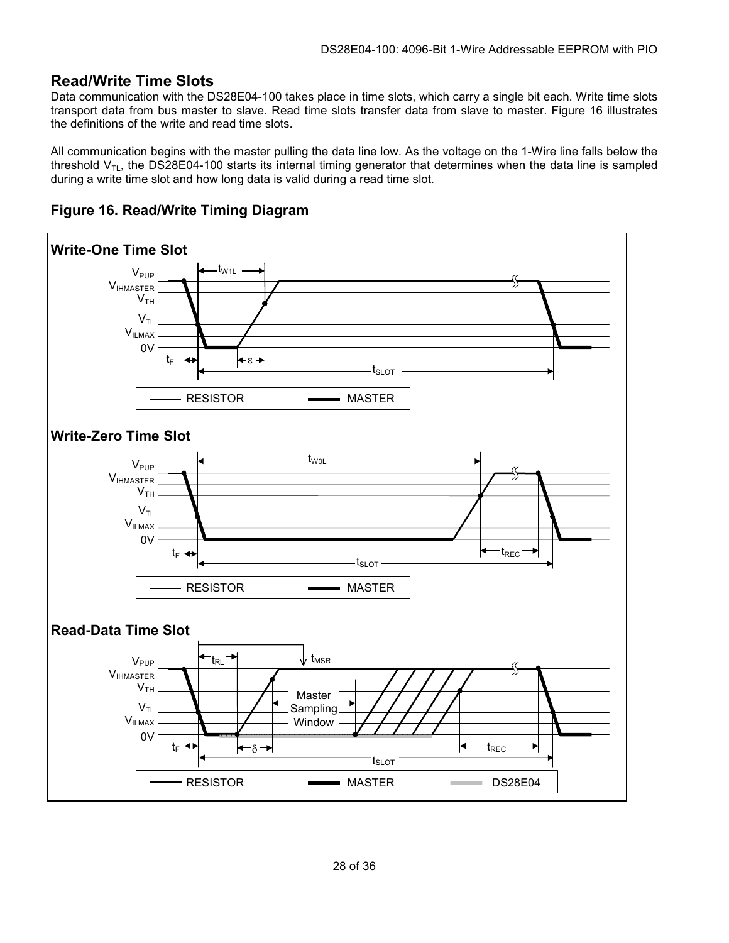# **Read/Write Time Slots**

Data communication with the DS28E04-100 takes place in time slots, which carry a single bit each. Write time slots transport data from bus master to slave. Read time slots transfer data from slave to master. Figure 16 illustrates the definitions of the write and read time slots.

All communication begins with the master pulling the data line low. As the voltage on the 1-Wire line falls below the threshold  $V_{TL}$ , the DS28E04-100 starts its internal timing generator that determines when the data line is sampled during a write time slot and how long data is valid during a read time slot.



**Figure 16. Read/Write Timing Diagram**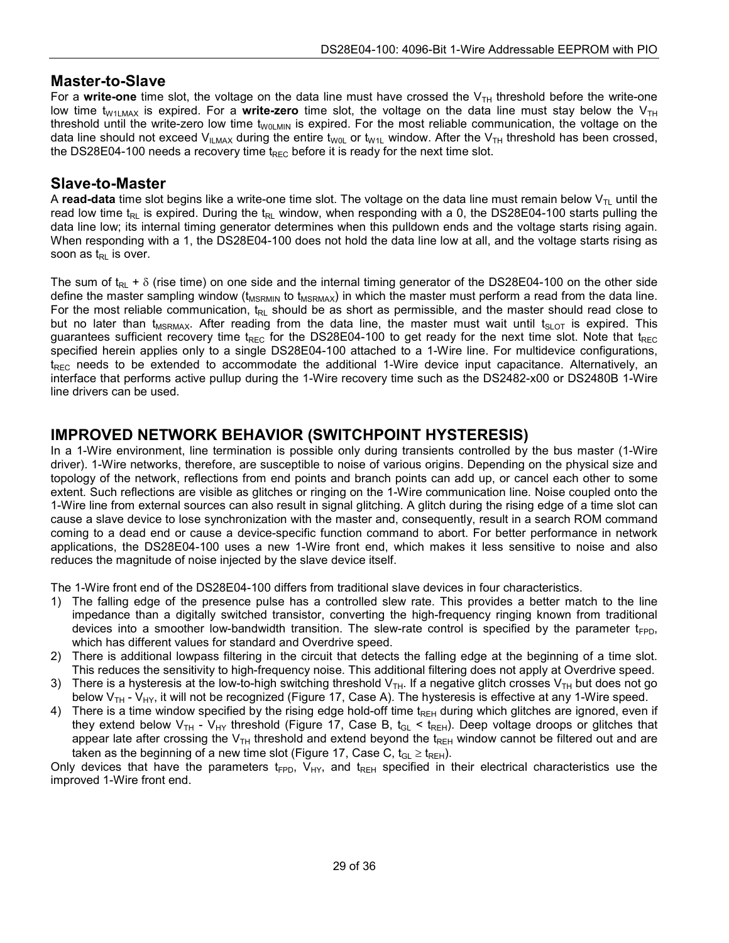### **Master-to-Slave**

For a write-one time slot, the voltage on the data line must have crossed the V<sub>TH</sub> threshold before the write-one low time t<sub>W1LMAX</sub> is expired. For a write-zero time slot, the voltage on the data line must stay below the V<sub>TH</sub> threshold until the write-zero low time t<sub>W0LMIN</sub> is expired. For the most reliable communication, the voltage on the data line should not exceed V<sub>ILMAX</sub> during the entire t<sub>W0L</sub> or t<sub>W1L</sub> window. After the V<sub>TH</sub> threshold has been crossed, the DS28E04-100 needs a recovery time  $t_{REC}$  before it is ready for the next time slot.

### **Slave-to-Master**

A **read-data** time slot begins like a write-one time slot. The voltage on the data line must remain below  $V<sub>T<sub>L</sub></sub>$  until the read low time t<sub>RL</sub> is expired. During the t<sub>RL</sub> window, when responding with a 0, the DS28E04-100 starts pulling the data line low; its internal timing generator determines when this pulldown ends and the voltage starts rising again. When responding with a 1, the DS28E04-100 does not hold the data line low at all, and the voltage starts rising as soon as  $t_{RL}$  is over.

The sum of  $t_{RL}$  +  $\delta$  (rise time) on one side and the internal timing generator of the DS28E04-100 on the other side define the master sampling window (t<sub>MSRMIN</sub> to t<sub>MSRMAX</sub>) in which the master must perform a read from the data line. For the most reliable communication,  $t_{RL}$  should be as short as permissible, and the master should read close to but no later than t<sub>MSRMAX</sub>. After reading from the data line, the master must wait until t<sub>SLOT</sub> is expired. This guarantees sufficient recovery time t<sub>REC</sub> for the DS28E04-100 to get ready for the next time slot. Note that t<sub>REC</sub> specified herein applies only to a single DS28E04-100 attached to a 1-Wire line. For multidevice configurations,  $t_{\text{REC}}$  needs to be extended to accommodate the additional 1-Wire device input capacitance. Alternatively, an interface that performs active pullup during the 1-Wire recovery time such as the DS2482-x00 or DS2480B 1-Wire line drivers can be used.

### **IMPROVED NETWORK BEHAVIOR (SWITCHPOINT HYSTERESIS)**

In a 1-Wire environment, line termination is possible only during transients controlled by the bus master (1-Wire driver). 1-Wire networks, therefore, are susceptible to noise of various origins. Depending on the physical size and topology of the network, reflections from end points and branch points can add up, or cancel each other to some extent. Such reflections are visible as glitches or ringing on the 1-Wire communication line. Noise coupled onto the 1-Wire line from external sources can also result in signal glitching. A glitch during the rising edge of a time slot can cause a slave device to lose synchronization with the master and, consequently, result in a search ROM command coming to a dead end or cause a device-specific function command to abort. For better performance in network applications, the DS28E04-100 uses a new 1-Wire front end, which makes it less sensitive to noise and also reduces the magnitude of noise injected by the slave device itself.

The 1-Wire front end of the DS28E04-100 differs from traditional slave devices in four characteristics.

- 1) The falling edge of the presence pulse has a controlled slew rate. This provides a better match to the line impedance than a digitally switched transistor, converting the high-frequency ringing known from traditional devices into a smoother low-bandwidth transition. The slew-rate control is specified by the parameter  $t_{FPD}$ , which has different values for standard and Overdrive speed.
- 2) There is additional lowpass filtering in the circuit that detects the falling edge at the beginning of a time slot. This reduces the sensitivity to high-frequency noise. This additional filtering does not apply at Overdrive speed.
- 3) There is a hysteresis at the low-to-high switching threshold  $V<sub>TH</sub>$ . If a negative glitch crosses  $V<sub>TH</sub>$  but does not go below  $V_{TH}$  -  $V_{HY}$ , it will not be recognized (Figure 17, Case A). The hysteresis is effective at any 1-Wire speed.
- 4) There is a time window specified by the rising edge hold-off time  $t_{REH}$  during which glitches are ignored, even if they extend below V<sub>TH</sub> - V<sub>HY</sub> threshold (Figure 17, Case B,  $t_{GL}$  <  $t_{REH}$ ). Deep voltage droops or glitches that appear late after crossing the  $V<sub>TH</sub>$  threshold and extend beyond the t<sub>REH</sub> window cannot be filtered out and are taken as the beginning of a new time slot (Figure 17, Case C,  $t_{GL} \ge t_{REH}$ ).

Only devices that have the parameters  $t_{FPD}$ ,  $V_{HY}$ , and  $t_{REH}$  specified in their electrical characteristics use the improved 1-Wire front end.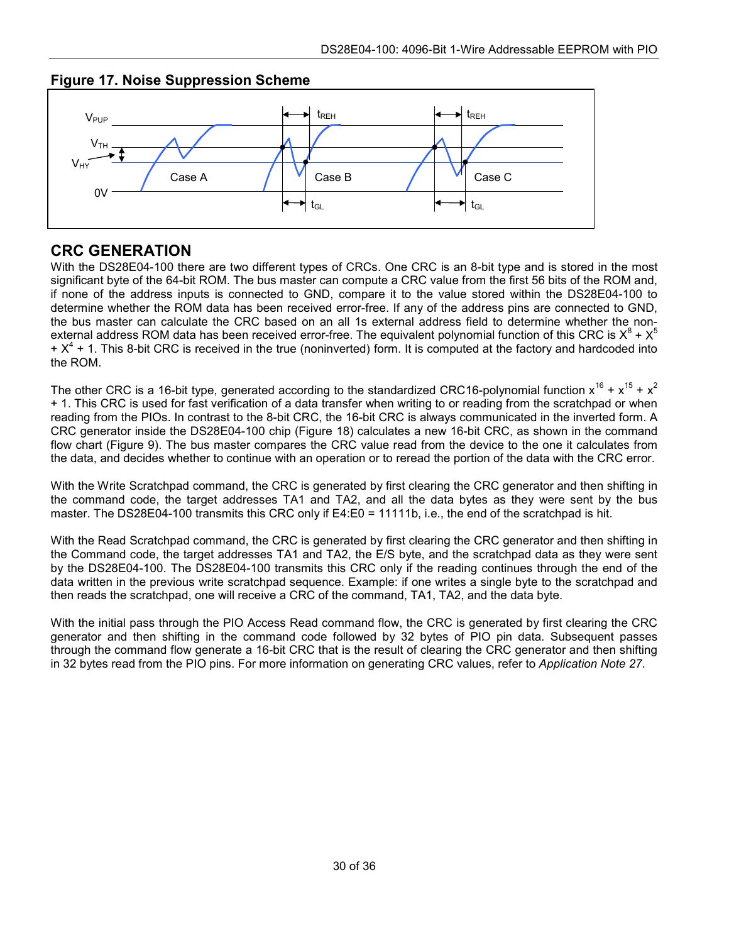

### **Figure 17. Noise Suppression Scheme**

### **CRC GENERATION**

With the DS28E04-100 there are two different types of CRCs. One CRC is an 8-bit type and is stored in the most significant byte of the 64-bit ROM. The bus master can compute a CRC value from the first 56 bits of the ROM and, if none of the address inputs is connected to GND, compare it to the value stored within the DS28E04-100 to determine whether the ROM data has been received error-free. If any of the address pins are connected to GND, the bus master can calculate the CRC based on an all 1s external address field to determine whether the nonexternal address ROM data has been received error-free. The equivalent polynomial function of this CRC is  $X^8 + X^5$  $+ X<sup>4</sup> + 1$ . This 8-bit CRC is received in the true (noninverted) form. It is computed at the factory and hardcoded into the ROM.

The other CRC is a 16-bit type, generated according to the standardized CRC16-polynomial function  $x^{16} + x^{15} + x^2$ + 1. This CRC is used for fast verification of a data transfer when writing to or reading from the scratchpad or when reading from the PIOs. In contrast to the 8-bit CRC, the 16-bit CRC is always communicated in the inverted form. A CRC generator inside the DS28E04-100 chip (Figure 18) calculates a new 16-bit CRC, as shown in the command flow chart (Figure 9). The bus master compares the CRC value read from the device to the one it calculates from the data, and decides whether to continue with an operation or to reread the portion of the data with the CRC error.

With the Write Scratchpad command, the CRC is generated by first clearing the CRC generator and then shifting in the command code, the target addresses TA1 and TA2, and all the data bytes as they were sent by the bus master. The DS28E04-100 transmits this CRC only if E4:E0 = 11111b, i.e., the end of the scratchpad is hit.

With the Read Scratchpad command, the CRC is generated by first clearing the CRC generator and then shifting in the Command code, the target addresses TA1 and TA2, the E/S byte, and the scratchpad data as they were sent by the DS28E04-100. The DS28E04-100 transmits this CRC only if the reading continues through the end of the data written in the previous write scratchpad sequence. Example: if one writes a single byte to the scratchpad and then reads the scratchpad, one will receive a CRC of the command, TA1, TA2, and the data byte.

With the initial pass through the PIO Access Read command flow, the CRC is generated by first clearing the CRC generator and then shifting in the command code followed by 32 bytes of PIO pin data. Subsequent passes through the command flow generate a 16-bit CRC that is the result of clearing the CRC generator and then shifting in 32 bytes read from the PIO pins. For more information on generating CRC values, refer to *Application Note 27*.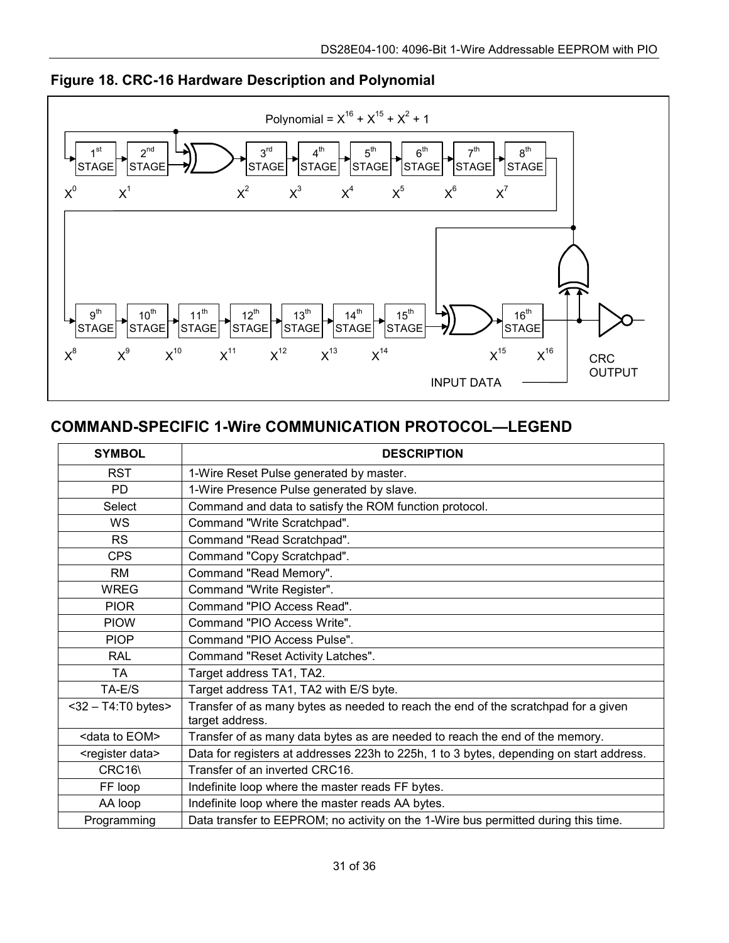

**Figure 18. CRC-16 Hardware Description and Polynomial** 

# **COMMAND-SPECIFIC 1-Wire COMMUNICATION PROTOCOL—LEGEND**

| <b>SYMBOL</b>                 | <b>DESCRIPTION</b>                                                                                    |
|-------------------------------|-------------------------------------------------------------------------------------------------------|
| <b>RST</b>                    | 1-Wire Reset Pulse generated by master.                                                               |
| PD.                           | 1-Wire Presence Pulse generated by slave.                                                             |
| Select                        | Command and data to satisfy the ROM function protocol.                                                |
| WS                            | Command "Write Scratchpad".                                                                           |
| <b>RS</b>                     | Command "Read Scratchpad".                                                                            |
| <b>CPS</b>                    | Command "Copy Scratchpad".                                                                            |
| <b>RM</b>                     | Command "Read Memory".                                                                                |
| WREG                          | Command "Write Register".                                                                             |
| <b>PIOR</b>                   | Command "PIO Access Read".                                                                            |
| <b>PIOW</b>                   | Command "PIO Access Write".                                                                           |
| <b>PIOP</b>                   | Command "PIO Access Pulse".                                                                           |
| <b>RAL</b>                    | Command "Reset Activity Latches".                                                                     |
| TA                            | Target address TA1, TA2.                                                                              |
| TA-E/S                        | Target address TA1, TA2 with E/S byte.                                                                |
| $<$ 32 - T4:T0 bytes>         | Transfer of as many bytes as needed to reach the end of the scratchpad for a given<br>target address. |
| <data eom="" to=""></data>    | Transfer of as many data bytes as are needed to reach the end of the memory.                          |
| <register data=""></register> | Data for registers at addresses 223h to 225h, 1 to 3 bytes, depending on start address.               |
| CRC16\                        | Transfer of an inverted CRC16.                                                                        |
| FF loop                       | Indefinite loop where the master reads FF bytes.                                                      |
| AA loop                       | Indefinite loop where the master reads AA bytes.                                                      |
| Programming                   | Data transfer to EEPROM; no activity on the 1-Wire bus permitted during this time.                    |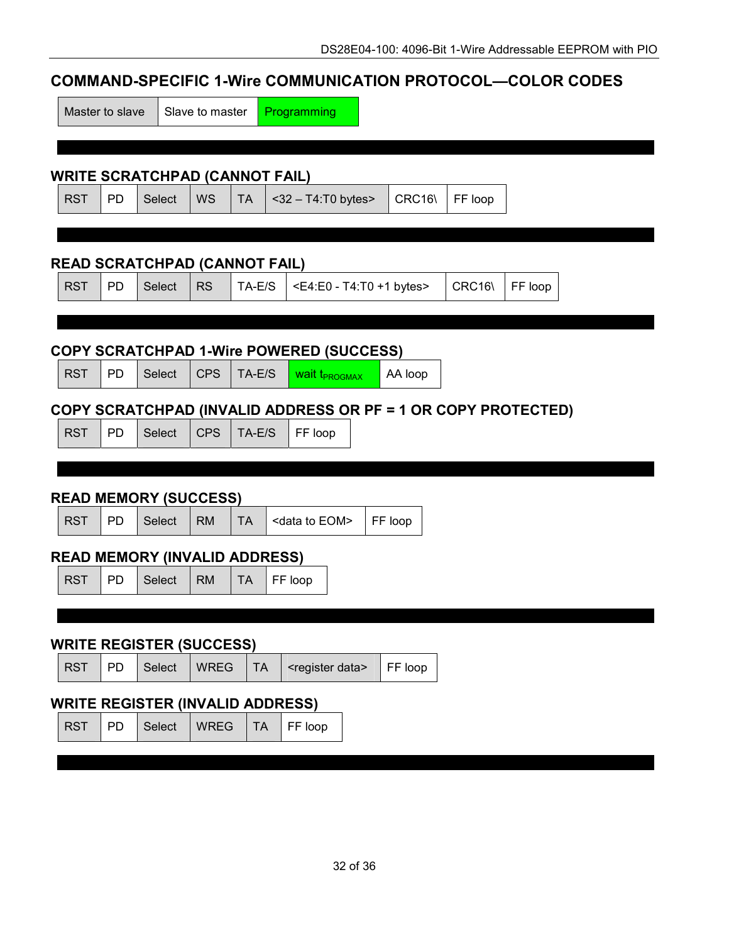# **COMMAND-SPECIFIC 1-Wire COMMUNICATION PROTOCOL—COLOR CODES**

|            | Master to slave |                                 | Slave to master |                                         | Programming                                     |         |         |                                                               |
|------------|-----------------|---------------------------------|-----------------|-----------------------------------------|-------------------------------------------------|---------|---------|---------------------------------------------------------------|
|            |                 |                                 |                 | <b>WRITE SCRATCHPAD (CANNOT FAIL)</b>   |                                                 |         |         |                                                               |
| <b>RST</b> | <b>PD</b>       | Select                          | <b>WS</b>       | <b>TA</b>                               | $<$ 32 - T4:T0 bytes>                           |         | CRC16\  | FF loop                                                       |
|            |                 |                                 |                 |                                         |                                                 |         |         |                                                               |
|            |                 |                                 |                 | <b>READ SCRATCHPAD (CANNOT FAIL)</b>    |                                                 |         |         |                                                               |
| <b>RST</b> | <b>PD</b>       | <b>Select</b>                   | <b>RS</b>       | TA-E/S                                  | <e4:e0 +1="" -="" bytes="" t4:t0=""></e4:e0>    |         |         | CRC16\<br>FF loop                                             |
|            |                 |                                 |                 |                                         |                                                 |         |         |                                                               |
|            |                 |                                 |                 |                                         |                                                 |         |         |                                                               |
|            |                 |                                 |                 |                                         | <b>COPY SCRATCHPAD 1-Wire POWERED (SUCCESS)</b> |         |         |                                                               |
| <b>RST</b> | <b>PD</b>       | Select                          | <b>CPS</b>      | TA-E/S                                  | <b>wait t</b> <sub>PROGMAX</sub>                |         | AA loop |                                                               |
|            |                 |                                 |                 |                                         |                                                 |         |         | COPY SCRATCHPAD (INVALID ADDRESS OR PF = 1 OR COPY PROTECTED) |
| <b>RST</b> | PD              | Select                          | <b>CPS</b>      | TA-E/S                                  | FF loop                                         |         |         |                                                               |
|            |                 |                                 |                 |                                         |                                                 |         |         |                                                               |
|            |                 |                                 |                 |                                         |                                                 |         |         |                                                               |
|            |                 | <b>READ MEMORY (SUCCESS)</b>    |                 |                                         |                                                 |         |         |                                                               |
| <b>RST</b> | <b>PD</b>       | Select                          | <b>RM</b>       | <b>TA</b>                               | <data eom="" to=""></data>                      | FF loop |         |                                                               |
|            |                 |                                 |                 | <b>READ MEMORY (INVALID ADDRESS)</b>    |                                                 |         |         |                                                               |
| <b>RST</b> | PD              | Select                          | <b>RM</b>       | <b>TA</b>                               | FF loop                                         |         |         |                                                               |
|            |                 |                                 |                 |                                         |                                                 |         |         |                                                               |
|            |                 |                                 |                 |                                         |                                                 |         |         |                                                               |
|            |                 | <b>WRITE REGISTER (SUCCESS)</b> |                 |                                         |                                                 |         |         |                                                               |
| <b>RST</b> | PD              | Select                          | <b>WREG</b>     | <b>TA</b>                               | <register data=""></register>                   |         | FF loop |                                                               |
|            |                 |                                 |                 | <b>WRITE REGISTER (INVALID ADDRESS)</b> |                                                 |         |         |                                                               |
| <b>RST</b> | PD              | Select                          | <b>WREG</b>     | <b>TA</b>                               | FF loop                                         |         |         |                                                               |
|            |                 |                                 |                 |                                         |                                                 |         |         |                                                               |
|            |                 |                                 |                 |                                         |                                                 |         |         |                                                               |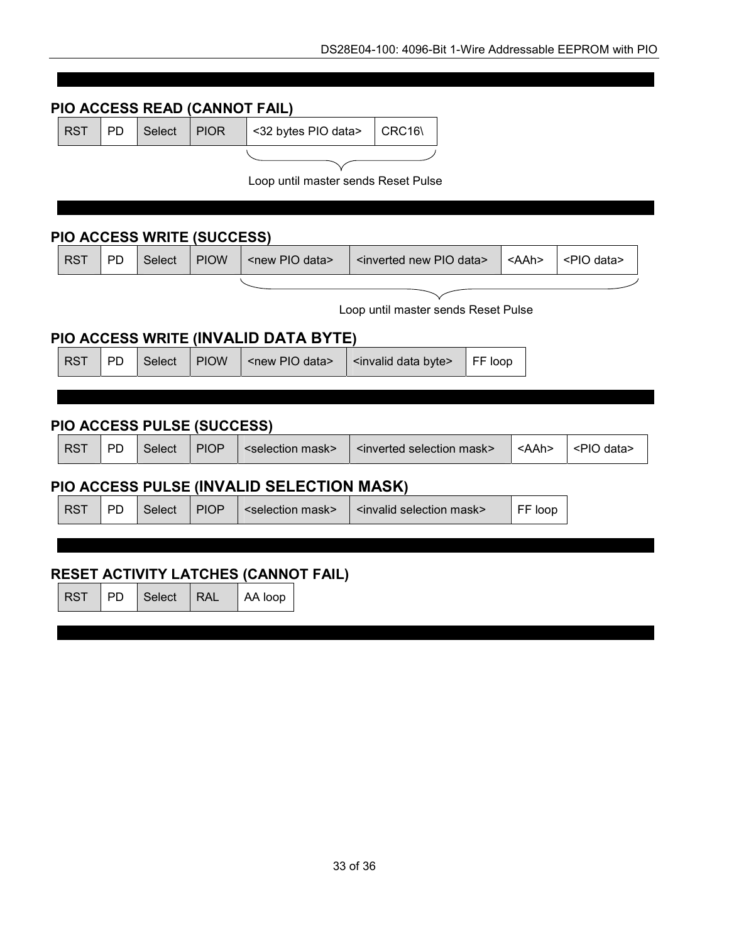| <b>RST</b> | <b>PD</b> | Select                            | <b>PIOR</b> | PIO ACCESS READ (CANNOT FAIL)                          | CRC16\                                                                                                       |
|------------|-----------|-----------------------------------|-------------|--------------------------------------------------------|--------------------------------------------------------------------------------------------------------------|
|            |           |                                   |             | <32 bytes PIO data>                                    |                                                                                                              |
|            |           |                                   |             |                                                        |                                                                                                              |
|            |           |                                   |             | Loop until master sends Reset Pulse                    |                                                                                                              |
|            |           |                                   |             |                                                        |                                                                                                              |
|            |           | <b>PIO ACCESS WRITE (SUCCESS)</b> |             |                                                        |                                                                                                              |
| <b>RST</b> | <b>PD</b> | Select                            | <b>PIOW</b> | <new data="" pio=""></new>                             | <inverted data="" new="" pio=""><br/><math>&lt;</math>AAh&gt;<br/><pio data=""></pio></inverted>             |
|            |           |                                   |             |                                                        |                                                                                                              |
|            |           |                                   |             |                                                        | Loop until master sends Reset Pulse                                                                          |
|            |           |                                   |             | PIO ACCESS WRITE (INVALID DATA BYTE)                   |                                                                                                              |
| <b>RST</b> | <b>PD</b> | <b>Select</b>                     | <b>PIOW</b> | <new data="" pio=""></new>                             | <invalid byte="" data=""><br/>FF loop</invalid>                                                              |
|            |           |                                   |             |                                                        |                                                                                                              |
|            |           |                                   |             |                                                        |                                                                                                              |
|            |           | PIO ACCESS PULSE (SUCCESS)        |             |                                                        |                                                                                                              |
| <b>RST</b> | <b>PD</b> | Select                            | <b>PIOP</b> | <selection mask=""></selection>                        | <pio data=""><br/><inverted mask="" selection=""><br/><math>&lt;</math>AAh<math>&gt;</math></inverted></pio> |
|            |           |                                   |             |                                                        |                                                                                                              |
|            |           |                                   |             |                                                        |                                                                                                              |
|            |           |                                   |             | PIO ACCESS PULSE (INVALID SELECTION MASK)              |                                                                                                              |
| <b>RST</b> | <b>PD</b> | Select                            | <b>PIOP</b> | <selection mask=""></selection>                        | <invalid mask="" selection=""><br/>FF loop</invalid>                                                         |
|            |           |                                   |             |                                                        |                                                                                                              |
|            |           |                                   |             |                                                        |                                                                                                              |
| <b>RST</b> | <b>PD</b> | Select                            | <b>RAL</b>  | <b>RESET ACTIVITY LATCHES (CANNOT FAIL)</b><br>AA loop |                                                                                                              |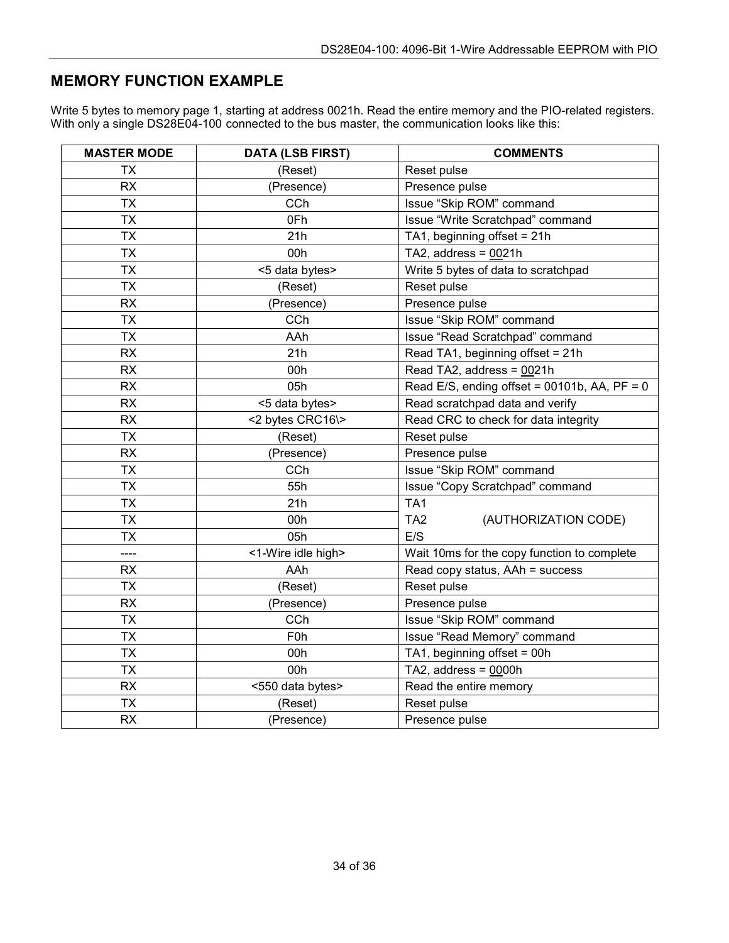# **MEMORY FUNCTION EXAMPLE**

Write 5 bytes to memory page 1, starting at address 0021h. Read the entire memory and the PIO-related registers. With only a single DS28E04-100 connected to the bus master, the communication looks like this:

| <b>MASTER MODE</b> | <b>DATA (LSB FIRST)</b> | <b>COMMENTS</b>                                |
|--------------------|-------------------------|------------------------------------------------|
| <b>TX</b>          | (Reset)                 | Reset pulse                                    |
| <b>RX</b>          | (Presence)              | Presence pulse                                 |
| <b>TX</b>          | CCh                     | Issue "Skip ROM" command                       |
| <b>TX</b>          | 0Fh                     | Issue "Write Scratchpad" command               |
| <b>TX</b>          | 21h                     | TA1, beginning offset = 21h                    |
| <b>TX</b>          | 00h                     | TA2, address = $0021h$                         |
| <b>TX</b>          | <5 data bytes>          | Write 5 bytes of data to scratchpad            |
| <b>TX</b>          | (Reset)                 | Reset pulse                                    |
| <b>RX</b>          | (Presence)              | Presence pulse                                 |
| <b>TX</b>          | CCh                     | Issue "Skip ROM" command                       |
| <b>TX</b>          | AAh                     | Issue "Read Scratchpad" command                |
| <b>RX</b>          | 21h                     | Read TA1, beginning offset = 21h               |
| <b>RX</b>          | 00h                     | Read TA2, address = 0021h                      |
| <b>RX</b>          | 05h                     | Read E/S, ending offset = 00101b, AA, $PF = 0$ |
| <b>RX</b>          | <5 data bytes>          | Read scratchpad data and verify                |
| <b>RX</b>          | <2 bytes CRC16\>        | Read CRC to check for data integrity           |
| <b>TX</b>          | (Reset)                 | Reset pulse                                    |
| <b>RX</b>          | (Presence)              | Presence pulse                                 |
| <b>TX</b>          | CCh                     | Issue "Skip ROM" command                       |
| <b>TX</b>          | 55h                     | Issue "Copy Scratchpad" command                |
| <b>TX</b>          | 21h                     | TA <sub>1</sub>                                |
| <b>TX</b>          | 00h                     | TA <sub>2</sub><br>(AUTHORIZATION CODE)        |
| <b>TX</b>          | 05h                     | E/S                                            |
| ----               | <1-Wire idle high>      | Wait 10ms for the copy function to complete    |
| <b>RX</b>          | AAh                     | Read copy status, AAh = success                |
| <b>TX</b>          | (Reset)                 | Reset pulse                                    |
| <b>RX</b>          | (Presence)              | Presence pulse                                 |
| <b>TX</b>          | CCh                     | Issue "Skip ROM" command                       |
| <b>TX</b>          | F <sub>0</sub> h        | Issue "Read Memory" command                    |
| <b>TX</b>          | 00h                     | TA1, beginning offset = 00h                    |
| <b>TX</b>          | 00h                     | TA2, address = $0000h$                         |
| <b>RX</b>          | <550 data bytes>        | Read the entire memory                         |
| <b>TX</b>          | (Reset)                 | Reset pulse                                    |
| <b>RX</b>          | (Presence)              | Presence pulse                                 |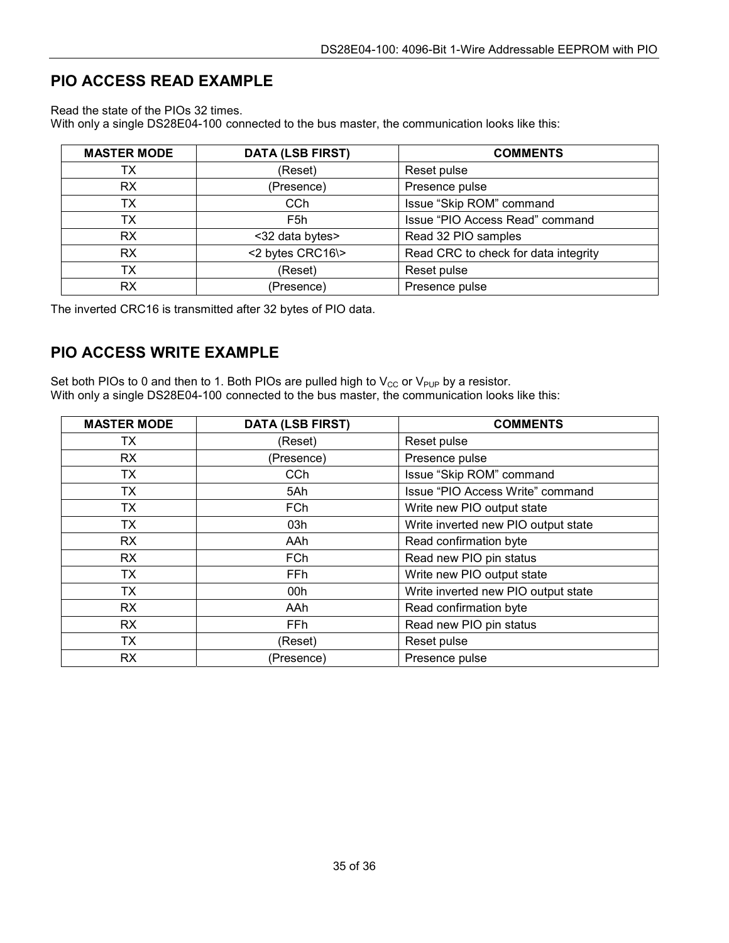# **PIO ACCESS READ EXAMPLE**

Read the state of the PIOs 32 times.

With only a single DS28E04-100 connected to the bus master, the communication looks like this:

| <b>MASTER MODE</b> | <b>DATA (LSB FIRST)</b> | <b>COMMENTS</b>                      |
|--------------------|-------------------------|--------------------------------------|
| ТX                 | (Reset)                 | Reset pulse                          |
| <b>RX</b>          | (Presence)              | Presence pulse                       |
| ТX                 | CC <sub>h</sub>         | Issue "Skip ROM" command             |
| ТX                 | F5h                     | Issue "PIO Access Read" command      |
| RX                 | <32 data bytes>         | Read 32 PIO samples                  |
| RX                 | <2 bytes CRC16\>        | Read CRC to check for data integrity |
| ТX                 | (Reset)                 | Reset pulse                          |
| RX                 | (Presence)              | Presence pulse                       |

The inverted CRC16 is transmitted after 32 bytes of PIO data.

# **PIO ACCESS WRITE EXAMPLE**

Set both PIOs to 0 and then to 1. Both PIOs are pulled high to  $V_{CC}$  or  $V_{PUP}$  by a resistor. With only a single DS28E04-100 connected to the bus master, the communication looks like this:

| <b>MASTER MODE</b> | <b>DATA (LSB FIRST)</b> | <b>COMMENTS</b>                     |
|--------------------|-------------------------|-------------------------------------|
| ТX                 | (Reset)                 | Reset pulse                         |
| <b>RX</b>          | (Presence)              | Presence pulse                      |
| TX                 | CC <sub>h</sub>         | Issue "Skip ROM" command            |
| TX                 | 5Ah                     | Issue "PIO Access Write" command    |
| TX                 | <b>FCh</b>              | Write new PIO output state          |
| TX                 | 03h                     | Write inverted new PIO output state |
| <b>RX</b>          | AAh                     | Read confirmation byte              |
| <b>RX</b>          | <b>FCh</b>              | Read new PIO pin status             |
| TX                 | <b>FFh</b>              | Write new PIO output state          |
| TX                 | 00h                     | Write inverted new PIO output state |
| <b>RX</b>          | AAh                     | Read confirmation byte              |
| <b>RX</b>          | <b>FFh</b>              | Read new PIO pin status             |
| TX                 | (Reset)                 | Reset pulse                         |
| <b>RX</b>          | (Presence)              | Presence pulse                      |